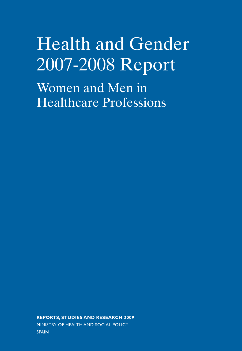# Health and Gender 2007-2008 Report

Women and Men in Healthcare Professions

**REPORTS, STUDIES AND RESEARCH 2009** MINISTRY OF HEALTH AND SOCIAL POLICY SPAIN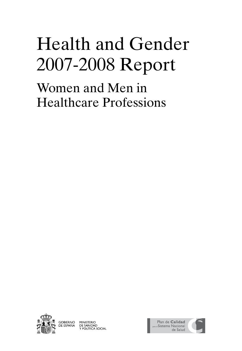# Health and Gender 2007-2008 Report

Women and Men in Healthcare Professions





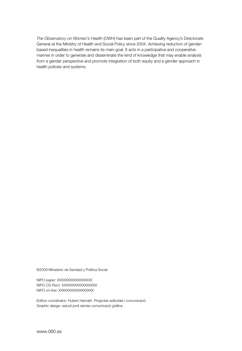*The Observatory on Women's Health* (OWH) has been part of the Quality Agency's Directorate General at the Ministry of Health and Social Policy since 2004. Achieving reduction of genderbased inequalities in health remains its main goal. It acts in a participative and cooperative manner in order to generate and disseminate the kind of knowledge that may enable analysis from a gender perspective and promote integration of both equity and a gender approach in health policies and systems.

©2009 Ministerio de Sanidad y Política Social

NIPO paper: XXXXXXXXXXXXXXX NIPO CD-Rom: XXXXXXXXXXXXXXX NIPO on-line: XXXXXXXXXXXXXXX

Edition coordinator: Hubert Hanrath. Projectes editorials i comunicació Graphic design: estudi jordi sàrries comunicació gràfica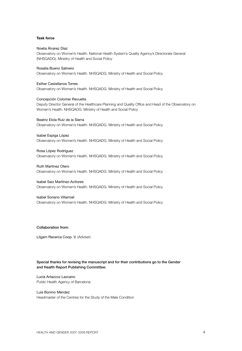### **Task force**

### Noelia Álvarez Díaz

Observatory on Women's Health. National Health System's Quality Agency's Directorate General (NHSQADG). Ministry of Health and Social Policy

### Rosalía Bueno Salinero

Observatory on Women's Health. NHSQADG. Ministry of Health and Social Policy

#### Esther Castellanos Torres

Observatory on Women's Health. NHSQADG. Ministry of Health and Social Policy

### Concepción Colomer Revuelta

Deputy Director General of the Healthcare Planning and Quality Office and Head of the Observatory on Women's Health. NHSQADG. Ministry of Health and Social Policy

### Beatriz Elola Ruiz de la Sierra

Observatory on Women's Health. NHSQADG. Ministry of Health and Social Policy

#### Isabel Espiga López

Observatory on Women's Health. NHSQADG. Ministry of Health and Social Policy

## Rosa López Rodríguez

Observatory on Women's Health. NHSQADG. Ministry of Health and Social Policy

#### Ruth Martínez Otero

Observatory on Women's Health. NHSQADG. Ministry of Health and Social Policy

### Isabel Saiz Martínez-Acitores

Observatory on Women's Health. NHSQADG. Ministry of Health and Social Policy

#### Isabel Soriano Villarroel

Observatory on Women's Health. NHSQADG. Ministry of Health and Social Policy

## Collaboration from:

Lligam Recerca Coop. V. (Adviser)

## Special thanks for revising the manuscript and for their contributions go to the Gender and Health Report Publishing Committee:

# Lucía Artazcoz Lazcano Public Health Agency of Barcelona

Luis Bonino Méndez Headmaster of the Centres for the Study of the Male Condition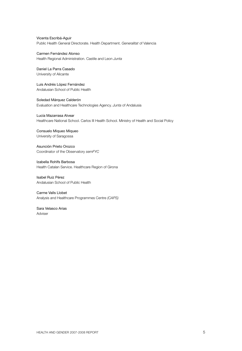Vicenta Escribá-Aguir Public Health General Directorate. Health Department. *Generalitat* of Valencia

Carmen Fernández Alonso Health Regional Administration. Castile and Leon *Junta*

# Daniel La Parra Casado

University of Alicante

Luis Andrés López Fernández Andalusian School of Public Health

Soledad Márquez Calderón Evaluation and Healthcare Technologies Agency. *Junta* of Andalusia

Lucía Mazarrasa Alvear Healthcare National School. Carlos III Health School. Ministry of Health and Social Policy

# Consuelo Miqueo Miqueo University of Saragossa

Asunción Prieto Orozco Coordinator of the Observatory *semFYC*

Izabella Rohlfs Barbosa Health Catalan Service. Healthcare Region of Girona

Isabel Ruiz Pérez Andalusian School of Public Health

# Carme Valls Llobet Analysis and Healthcare Programmes Centre *(CAPS)*

Sara Velasco Arias Adviser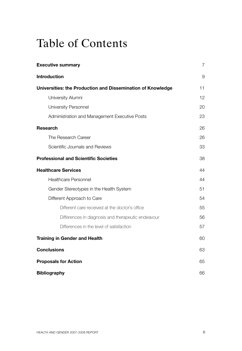# Table of Contents

| <b>Executive summary</b>                                    | $\overline{7}$ |
|-------------------------------------------------------------|----------------|
| <b>Introduction</b>                                         | 9              |
| Universities: the Production and Dissemination of Knowledge | 11             |
| University Alumni                                           | 12             |
| University Personnel                                        | 20             |
| Administration and Management Executive Posts               | 23             |
| <b>Research</b>                                             | 26             |
| The Research Career                                         | 26             |
| Scientific Journals and Reviews                             | 33             |
| <b>Professional and Scientific Societies</b>                | 38             |
| <b>Healthcare Services</b>                                  | 44             |
| <b>Healthcare Personnel</b>                                 | 44             |
| Gender Stereotypes in the Health System                     | 51             |
| Different Approach to Care                                  | 54             |
| Different care received at the doctor's office              | 55             |
| Differences in diagnosis and therapeutic endeavour          | 56             |
| Differences in the level of satisfaction                    | 57             |
| <b>Training in Gender and Health</b>                        | 60             |
| <b>Conclusions</b>                                          | 63             |
| <b>Proposals for Action</b>                                 | 65             |
| <b>Bibliography</b>                                         | 66             |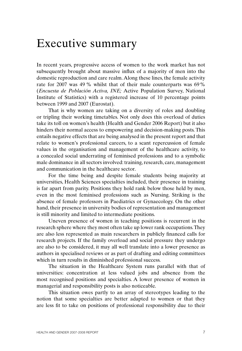# Executive summary

In recent years, progressive access of women to the work market has not subsequently brought about massive influx of a majority of men into the domestic reproduction and care realm. Along these lines, the female activity rate for 2007 was 49 % whilst that of their male counterparts was 69% (*Encuesta de Población Activa, INE;* Active Population Survey, National Institute of Statistics) with a registered increase of 10 percentage points between 1999 and 2007 (Eurostat).

That is why women are taking on a diversity of roles and doubling or tripling their working timetables. Not only does this overload of duties take its toll on women's health (Health and Gender 2006 Report) but it also hinders their normal access to empowering and decision-making posts. This entails negative effects that are being analysed in the present report and that relate to women's professional careers, to a scant repercussion of female values in the organisation and management of the healthcare activity, to a concealed social underrating of feminised professions and to a symbolic male dominance in all sectors involved: training, research, care, management and communication in the healthcare sector.

For the time being and despite female students being majority at universities, Health Sciences specialties included, their presence in training is far apart from parity. Positions they hold rank below those held by men, even in the most feminised professions such as Nursing. Striking is the absence of female professors in Paediatrics or Gynaecology. On the other hand, their presence in university bodies of representation and management is still minority and limited to intermediate positions.

Uneven presence of women in teaching positions is recurrent in the research sphere where they most often take up lower rank occupations. They are also less represented as main researchers in publicly financed calls for research projects. If the family overload and social pressure they undergo are also to be considered, it may all well translate into a lower presence as authors in specialised reviews or as part of drafting and editing committees which in turn results in diminished professional success.

The situation in the Healthcare System runs parallel with that of universities: concentration at less valued jobs and absence from the most recognised positions and specialties. A lower presence of women in managerial and responsibility posts is also noticeable.

This situation owes partly to an array of stereotypes leading to the notion that some specialties are better adapted to women or that they are less fit to take on positions of professional responsibility due to their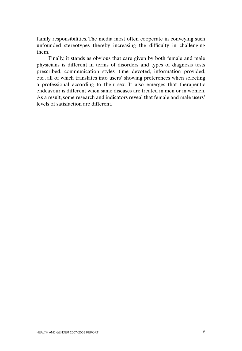family responsibilities. The media most often cooperate in conveying such unfounded stereotypes thereby increasing the difficulty in challenging them.

Finally, it stands as obvious that care given by both female and male physicians is different in terms of disorders and types of diagnosis tests prescribed, communication styles, time devoted, information provided, etc., all of which translates into users' showing preferences when selecting a professional according to their sex. It also emerges that therapeutic endeavour is different when same diseases are treated in men or in women. As a result, some research and indicators reveal that female and male users' levels of satisfaction are different.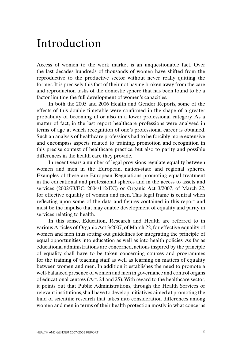# Introduction

Access of women to the work market is an unquestionable fact. Over the last decades hundreds of thousands of women have shifted from the reproductive to the productive sector without never really quitting the former. It is precisely this fact of their not having broken away from the care and reproduction tasks of the domestic sphere that has been found to be a factor limiting the full development of women's capacities.

In both the 2005 and 2006 Health and Gender Reports, some of the effects of this double timetable were confirmed in the shape of a greater probability of becoming ill or also in a lower professional category. As a matter of fact, in the last report healthcare professions were analysed in terms of age at which recognition of one's professional career is obtained. Such an analysis of healthcare professions had to be forcibly more extensive and encompass aspects related to training, promotion and recognition in this precise context of healthcare practice, but also to parity and possible differences in the health care they provide.

In recent years a number of legal provisions regulate equality between women and men in the European, nation-state and regional spheres. Examples of these are European Regulations promoting equal treatment in the educational and professional spheres and in the access to assets and services (2002/73/EC; 2004/112/EC) or Organic Act 3/2007, of March 22, for effective equality of women and men. This legal frame is central when reflecting upon some of the data and figures contained in this report and must be the impulse that may enable development of equality and parity in services relating to health.

In this sense, Education, Research and Health are referred to in various Articles of Organic Act 3/2007, of March 22, for effective equality of women and men thus setting out guidelines for integrating the principle of equal opportunities into education as well as into health policies. As far as educational administrations are concerned, actions inspired by the principle of equality shall have to be taken concerning courses and programmes for the training of teaching staff as well as learning on matters of equality between women and men. In addition it establishes the need to promote a well-balanced presence of women and men in governance and control organs of educational centres (Art. 24 and 25). With regard to the healthcare sector, it points out that Public Administrations, through the Health Services or relevant institutions, shall have to develop initiatives aimed at promoting the kind of scientific research that takes into consideration differences among women and men in terms of their health protection mostly in what concerns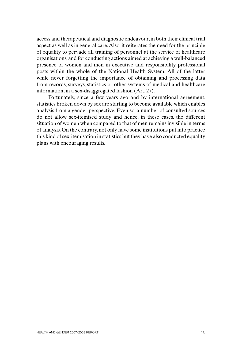access and therapeutical and diagnostic endeavour, in both their clinical trial aspect as well as in general care. Also, it reiterates the need for the principle of equality to pervade all training of personnel at the service of healthcare organisations, and for conducting actions aimed at achieving a well-balanced presence of women and men in executive and responsibility professional posts within the whole of the National Health System. All of the latter while never forgetting the importance of obtaining and processing data from records, surveys, statistics or other systems of medical and healthcare information, in a sex-disaggregated fashion (Art. 27).

Fortunately, since a few years ago and by international agreement, statistics broken down by sex are starting to become available which enables analysis from a gender perspective. Even so, a number of consulted sources do not allow sex-itemised study and hence, in these cases, the different situation of women when compared to that of men remains invisible in terms of analysis. On the contrary, not only have some institutions put into practice this kind of sex-itemisation in statistics but they have also conducted equality plans with encouraging results.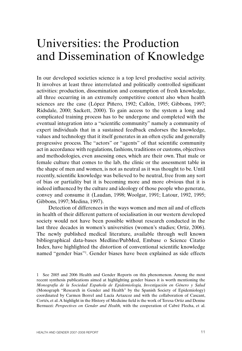# Universities: the Production and Dissemination of Knowledge

In our developed societies science is a top level productive social activity. It involves at least three interrelated and politically controlled significant activities: production, dissemination and consumption of fresh knowledge, all three occurring in an extremely competitive context also when health sciences are the case (López Piñero, 1992; Callón, 1995; Gibbons, 1997; Ridsdale, 2000; Sackett, 2000). To gain access to the system a long and complicated training process has to be undergone and completed with the eventual integration into a "scientific community" namely a community of expert individuals that in a sustained feedback endorses the knowledge, values and technology that it itself generates in an often cyclic and generally progressive process. The "actors" or "agents" of that scientific community act in accordance with regulations, fashions, traditions or customs, objectives and methodologies, even assessing ones, which are their own. That male or female culture that comes to the lab, the clinic or the assessment table in the shape of men and women, is not as neutral as it was thought to be. Until recently, scientific knowledge was believed to be neutral, free from any sort of bias or partiality but it is becoming more and more obvious that it is indeed influenced by the culture and ideology of those people who generate, convey and consume it (Laudan, 1998; Woolgar, 1991; Latour, 1992, 1995; Gibbons, 1997; Medina, 1997).

Detection of differences in the ways women and men ail and of effects in health of their different pattern of socialisation in our western developed society would not have been possible without research conducted in the last three decades in women's universities (women's studies; Ortiz, 2006). The newly published medical literature, available through well known bibliographical data-bases Medline/PubMed, Embase o Science Citatio Index, have highlighted the distortion of conventional scientific knowledge named "gender bias"<sup>1</sup>. Gender biases have been explained as side effects

<sup>1</sup> See 2005 and 2006 Health and Gender Reports on this phenomenon. Among the most recent synthesis publications aimed at highlighting gender biases it is worth mentioning the *Monografía de la Sociedad Española de Epidemiología, Investigación en Género y Salud* (Monograph "Research in Gender and Health" by the Spanish Society of Epidemiology) coordinated by Carmen Borrel and Lucía Artazcoz and with the collaboration of Cascant, Cortés, et al. A highlight in the History of Medicine field is the work of Teresa Ortiz and Denise Bernuzzi: *Perspectives on Gender and Health,* with the cooperation of Cabré Flecha, et al.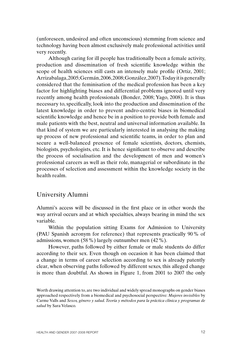(unforeseen, undesired and often unconscious) stemming from science and technology having been almost exclusively male professional activities until very recently.

Although caring for ill people has traditionally been a female activity, production and dissemination of fresh scientific knowledge within the scope of health sciences still casts an intensely male profile (Ortiz, 2001; Arrizabalaga, 2005; Germán, 2006, 2008; González, 2007). Today it is generally considered that the feminisation of the medical profession has been a key factor for highlighting biases and differential problems ignored until very recently among health professionals (Bonder, 2008; Yago, 2008). It is thus necessary to, specifically, look into the production and dissemination of the latest knowledge in order to prevent andro-centric biases in biomedical scientific knowledge and hence be in a position to provide both female and male patients with the best, neutral and universal information available. In that kind of system we are particularly interested in analysing the making up process of new professional and scientific teams, in order to plan and secure a well-balanced presence of female scientists, doctors, chemists, biologists, psychologists, etc. It is hence significant to observe and describe the process of socialisation and the development of men and women's professional careers as well as their role, managerial or subordinate in the processes of selection and assessment within the knowledge society in the health realm.

# University Alumni

Alumni's access will be discussed in the first place or in other words the way arrival occurs and at which specialties, always bearing in mind the sex variable.

Within the population sitting Exams for Admission to University (PAU Spanish acronym for reference) that represents practically 90% of admissions, women (58%) largely outnumber men (42%).

However, paths followed by either female or male students do differ according to their sex. Even though on occasion it has been claimed that a change in terms of career selection according to sex is already patently clear, when observing paths followed by different sexes, this alleged change is more than doubtful. As shown in Figure 1, from 2001 to 2007 the only

Worth drawing attention to, are two individual and widely spread monographs on gender biases approached respectively from a biomedical and psychosocial perspective: *Mujeres invisibles* by Carme Valls and *Sexos, género y salud. Teoría y métodos para la práctica clínica y programas de salud* by Sara Velasco.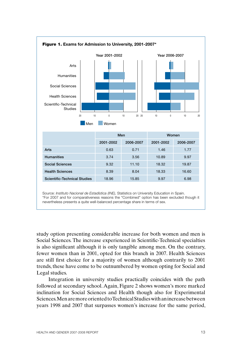

study option presenting considerable increase for both women and men is Social Sciences. The increase experienced in Scientific-Technical specialties is also significant although it is only tangible among men. On the contrary, fewer women than in 2001, opted for this branch in 2007. Health Sciences are still first choice for a majority of women although contrarily to 2001 trends, these have come to be outnumbered by women opting for Social and Legal studies.

Integration in university studies practically coincides with the path followed at secondary school. Again, Figure 2 shows women's more marked inclination for Social Sciences and Health though also for Experimental Sciences. Men are more oriented to Technical Studies with an increase between years 1998 and 2007 that surpasses women's increase for the same period,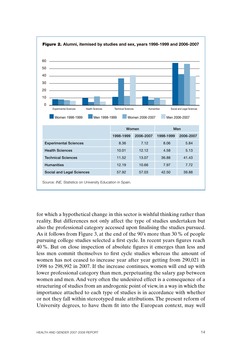

Figure 2. **Alumni, itemised by studies and sex, years 1998-1999 and 2006-2007**

for which a hypothetical change in this sector is wishful thinking rather than reality. But differences not only affect the type of studies undertaken but also the professional category accessed upon finalising the studies pursued. As it follows from Figure 3, at the end of the 90's more than 30% of people pursuing college studies selected a first cycle. In recent years figures reach 40%. But on close inspection of absolute figures it emerges than less and less men commit themselves to first cycle studies whereas the amount of women has not ceased to increase year after year getting from 290,021 in 1998 to 298,992 in 2007. If the increase continues, women will end up with lower professional category than men, perpetuating the salary gap between women and men. And very often the undesired effect is a consequence of a structuring of studies from an androgenic point of view, in a way in which the importance attached to each type of studies is in accordance with whether or not they fall within stereotyped male attributions. The present reform of University degrees, to have them fit into the European context, may well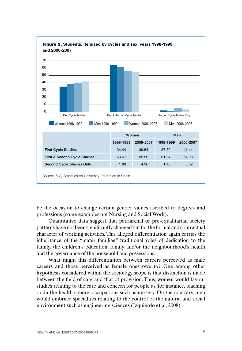

be the occasion to change certain gender values ascribed to degrees and professions (some examples are Nursing and Social Work).

Quantitative data suggest that patriarchal or pre-equalitarian society patterns have not been significantly changed but for the formal and contractual character of working activities. This alleged differentiation again carries the inheritance of the "mater familiae" traditional roles of dedication to the family, the children's education, family and/or the neighbourhood's health and the governance of the household and possessions.

What might this differentiation between careers perceived as male careers and those perceived as female ones owe to? One among other hypothesis considered within the sociology scope is that distinction is made between the field of care and that of provision. Thus, women would favour studies relating to the care and concern for people as, for instance, teaching or, in the health sphere, occupations such as nursery. On the contrary, men would embrace specialties relating to the control of the natural and social environment such as engineering sciences (Izquierdo et al, 2008).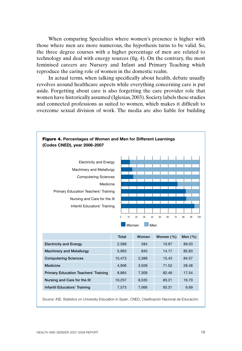When comparing Specialties where women's presence is higher with those where men are more numerous, the hypothesis turns to be valid. So, the three degree courses with a higher percentage of men are related to technology and deal with energy sources (fig. 4). On the contrary, the most feminised careers are Nursery and Infant and Primary Teaching which reproduce the caring role of women in the domestic realm.

In actual terms, when talking specifically about health, debate usually revolves around healthcare aspects while everything concerning care is put aside. Forgetting about care is also forgetting the care provider role that women have historically assumed (Iglesias, 2003). Society labels these studies and connected professions as suited to women, which makes it difficult to overcome sexual division of work. The media are also liable for building



Source: *INE,* Statistics on University Education in Spain. CNED, Clasificación Nacional de Educación.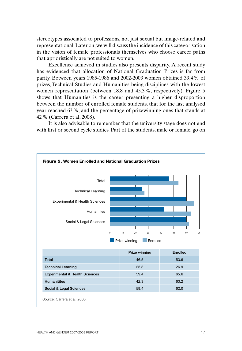stereotypes associated to professions, not just sexual but image-related and representational. Later on, we will discuss the incidence of this categorisation in the vision of female professionals themselves who choose career paths that aprioristically are not suited to women.

Excellence achieved in studies also presents disparity. A recent study has evidenced that allocation of National Graduation Prizes is far from parity. Between years 1985-1986 and 2002-2003 women obtained 39.4% of prizes, Technical Studies and Humanities being disciplines with the lowest women representation (between 18.8 and 45.3%, respectively). Figure 5 shows that Humanities is the career presenting a higher disproportion between the number of enrolled female students, that for the last analysed year reached 63%, and the percentage of prizewinning ones that stands at 42% (Carrera et al, 2008).

It is also advisable to remember that the university stage does not end with first or second cycle studies. Part of the students, male or female, go on

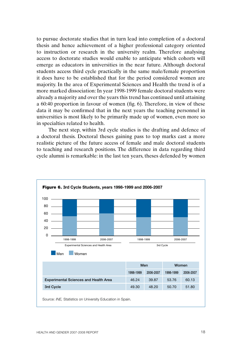to pursue doctorate studies that in turn lead into completion of a doctoral thesis and hence achievement of a higher professional category oriented to instruction or research in the university realm. Therefore analysing access to doctorate studies would enable to anticipate which cohorts will emerge as educators in universities in the near future. Although doctoral students access third cycle practically in the same male/female proportion it does have to be established that for the period considered women are majority. In the area of Experimental Sciences and Health the trend is of a more marked dissociation: In year 1998-1999 female doctoral students were already a majority and over the years this trend has continued until attaining a 60:40 proportion in favour of women (fig. 6). Therefore, in view of these data it may be confirmed that in the next years the teaching personnel in universities is most likely to be primarily made up of women, even more so in specialties related to health.

The next step, within 3rd cycle studies is the drafting and defence of a doctoral thesis. Doctoral theses gaining pass to top marks cast a more realistic picture of the future access of female and male doctoral students to teaching and research positions. The difference in data regarding third cycle alumni is remarkable: in the last ten years, theses defended by women

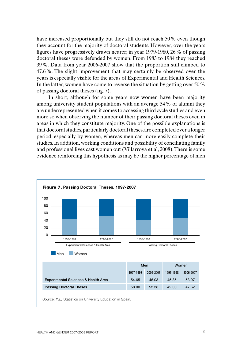have increased proportionally but they still do not reach 50% even though they account for the majority of doctoral students. However, over the years figures have progressively drawn nearer; in year 1979-1980, 26% of passing doctoral theses were defended by women. From 1983 to 1984 they reached 39%. Data from year 2006-2007 show that the proportion still climbed to 47.6%. The slight improvement that may certainly be observed over the years is especially visible for the areas of Experimental and Health Sciences. In the latter, women have come to reverse the situation by getting over 50% of passing doctoral theses (fig. 7).

In short, although for some years now women have been majority among university student populations with an average 54% of alumni they are underrepresented when it comes to accessing third cycle studies and even more so when observing the number of their passing doctoral theses even in areas in which they constitute majority. One of the possible explanations is that doctoral studies, particularly doctoral theses, are completed over a longer period, especially by women, whereas men can more easily complete their studies. In addition, working conditions and possibility of conciliating family and professional lives cast women out (Villarroya et al, 2008). There is some evidence reinforcing this hypothesis as may be the higher percentage of men

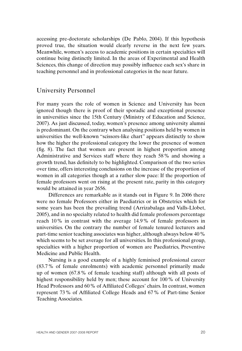accessing pre-doctorate scholarships (De Pablo, 2004). If this hypothesis proved true, the situation would clearly reverse in the next few years. Meanwhile, women's access to academic positions in certain specialties will continue being distinctly limited. In the areas of Experimental and Health Sciences, this change of direction may possibly influence each sex's share in teaching personnel and in professional categories in the near future.

# University Personnel

For many years the role of women in Science and University has been ignored though there is proof of their sporadic and exceptional presence in universities since the 15th Century (Ministry of Education and Science, 2007). As just discussed, today, women's presence among university alumni is predominant. On the contrary when analysing positions held by women in universities the well-known "scissors-like chart" appears distinctly to show how the higher the professional category the lower the presence of women (fig. 8). The fact that women are present in highest proportion among Administrative and Services staff where they reach 58% and showing a growth trend, has definitely to be highlighted. Comparison of the two series over time, offers interesting conclusions on the increase of the proportion of women in all categories though at a rather slow pace: If the proportion of female professors went on rising at the present rate, parity in this category would be attained in year 2656.

Differences are remarkable as it stands out in Figure 9. In 2006 there were no female Professors either in Paediatrics or in Obstetrics which for some years has been the prevailing trend (Arrizabalaga and Valls-Llobet, 2005), and in no specialty related to health did female professors percentage reach 10% in contrast with the average 14.9% of female professors in universities. On the contrary the number of female tenured lecturers and part-time senior teaching associates was higher, although always below 40% which seems to be set average for all universities. In this professional group, specialties with a higher proportion of women are Paediatrics, Preventive Medicine and Public Health.

Nursing is a good example of a highly feminised professional career (83.7% of female enrolments) with academic personnel primarily made up of women (67.8% of female teaching staff) although with all posts of highest responsibility held by men; these account for 100% of University Head Professors and 60% of Affiliated Colleges' chairs. In contrast, women represent 73% of Affiliated College Heads and 67% of Part-time Senior Teaching Associates.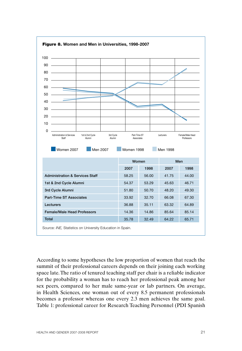

According to some hypotheses the low proportion of women that reach the summit of their professional careers depends on their joining each working space late. The ratio of tenured teaching staff per chair is a reliable indicator for the probability a woman has to reach her professional peak among her sex peers, compared to her male same-year or lab partners. On average, in Health Sciences, one woman out of every 8.5 permanent professionals becomes a professor whereas one every 2.3 men achieves the same goal. Table 1: professional career for Research Teaching Personnel (PDI Spanish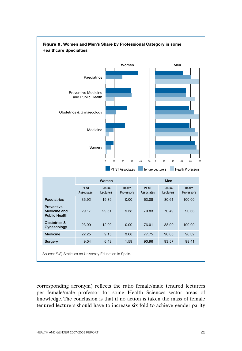

corresponding acronym) reflects the ratio female/male tenured lecturers per female/male professor for some Health Sciences sector areas of knowledge. The conclusion is that if no action is taken the mass of female tenured lecturers should have to increase six fold to achieve gender parity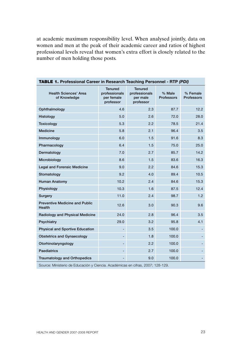at academic maximum responsibility level. When analysed jointly, data on women and men at the peak of their academic career and ratios of highest professional levels reveal that women's extra effort is closely related to the number of men holding those posts.

| IADLE<br><b>I.</b> Professional Career in Research Teaching Personnel - RTP (PDI) |                                                            |                                                          |                             |                               |  |  |  |
|-----------------------------------------------------------------------------------|------------------------------------------------------------|----------------------------------------------------------|-----------------------------|-------------------------------|--|--|--|
| <b>Health Sciences' Area</b><br>of Knowledge                                      | <b>Tenured</b><br>professionals<br>per female<br>professor | <b>Tenured</b><br>professionals<br>per male<br>professor | % Male<br><b>Professors</b> | % Female<br><b>Professors</b> |  |  |  |
| Ophthalmology                                                                     | 4.6                                                        | 2.3                                                      | 87.7                        | 12.2                          |  |  |  |
| Histology                                                                         | 5.0                                                        | 2.6                                                      | 72.0                        | 28.0                          |  |  |  |
| Toxicology                                                                        | 5.3                                                        | 2.2                                                      | 78.5                        | 21.4                          |  |  |  |
| <b>Medicine</b>                                                                   | 5.8                                                        | 2.1                                                      | 96.4                        | 3.5                           |  |  |  |
| Immunology                                                                        | 6.0                                                        | 1.5                                                      | 91.6                        | 8.3                           |  |  |  |
| Pharmacology                                                                      | 6.4                                                        | 1.5                                                      | 75.0                        | 25.0                          |  |  |  |
| Dermatology                                                                       | 7.0                                                        | 2.7                                                      | 85.7                        | 14.2                          |  |  |  |
| Microbiology                                                                      | 8.6                                                        | 1.5                                                      | 83.6                        | 16.3                          |  |  |  |
| <b>Legal and Forensic Medicine</b>                                                | 9.0                                                        | 2.2                                                      | 84.6                        | 15.3                          |  |  |  |
| Stomatology                                                                       | 9.2                                                        | 4.0                                                      | 89.4                        | 10.5                          |  |  |  |
| <b>Human Anatomy</b>                                                              | 10.2                                                       | 2.4                                                      | 84.6                        | 15.3                          |  |  |  |
| Physiology                                                                        | 10.3                                                       | 1.6                                                      | 87.5                        | 12.4                          |  |  |  |
| Surgery                                                                           | 11.0                                                       | 2.4                                                      | 98.7                        | 1.2                           |  |  |  |
| <b>Preventive Medicine and Public</b><br>Health                                   | 12.6                                                       | 3.0                                                      | 90.3                        | 9.6                           |  |  |  |
| Radiology and Physical Medicine                                                   | 24.0                                                       | 2.8                                                      | 96.4                        | 3.5                           |  |  |  |
| Psychiatry                                                                        | 29.0                                                       | 3.2                                                      | 95.8                        | 4.1                           |  |  |  |
| <b>Physical and Sportive Education</b>                                            |                                                            | 3.5                                                      | 100.0                       |                               |  |  |  |
| <b>Obstetrics and Gynaecology</b>                                                 | ٠                                                          | 1.8                                                      | 100.0                       |                               |  |  |  |
| Otorhinolaryngology                                                               |                                                            | 2.2                                                      | 100.0                       |                               |  |  |  |
| <b>Paediatrics</b>                                                                |                                                            | 2.7                                                      | 100.0                       |                               |  |  |  |
| <b>Traumatology and Orthopedics</b>                                               |                                                            | 9.0                                                      | 100.0                       |                               |  |  |  |

TABLE 1. **Professional Career in Research Teaching Personnel - RTP** *(PDI)*

Source: Ministerio de Educación y Ciencia. Académicas en cifras, 2007; 128-129.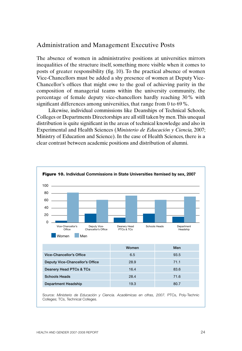# Administration and Management Executive Posts

The absence of women in administrative positions at universities mirrors inequalities of the structure itself, something more visible when it comes to posts of greater responsibility (fig. 10). To the practical absence of women Vice-Chancellors must be added a shy presence of women at Deputy Vice-Chancellor's offices that might owe to the goal of achieving parity in the composition of managerial teams within the university community, the percentage of female deputy vice-chancellors hardly reaching 30% with significant differences among universities, that range from 0 to 69%.

Likewise, individual commissions like Deanships of Technical Schools, Colleges or Departments Directorships are all still taken by men. This unequal distribution is quite significant in the areas of technical knowledge and also in Experimental and Health Sciences (*Ministerio de Educación y Ciencia,* 2007; Ministry of Education and Science). In the case of Health Sciences, there is a clear contrast between academic positions and distribution of alumni.

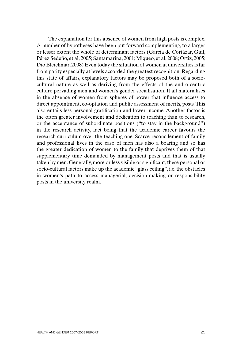The explanation for this absence of women from high posts is complex. A number of hypotheses have been put forward complementing, to a larger or lesser extent the whole of determinant factors (García de Cortázar, Guil, Pérez Sedeño, et al, 2005; Santamarina, 2001; Miqueo, et al, 2008; Ortiz, 2005; Dio Bleichmar, 2008) Even today the situation of women at universities is far from parity especially at levels accorded the greatest recognition. Regarding this state of affairs, explanatory factors may be proposed both of a sociocultural nature as well as deriving from the effects of the andro-centric culture pervading men and women's gender socialisation. It all materialises in the absence of women from spheres of power that influence access to direct appointment, co-optation and public assessment of merits, posts. This also entails less personal gratification and lower income. Another factor is the often greater involvement and dedication to teaching than to research, or the acceptance of subordinate positions ("to stay in the background") in the research activity, fact being that the academic career favours the research curriculum over the teaching one. Scarce reconcilement of family and professional lives in the case of men has also a bearing and so has the greater dedication of women to the family that deprives them of that supplementary time demanded by management posts and that is usually taken by men. Generally, more or less visible or significant, these personal or socio-cultural factors make up the academic "glass ceiling", i.e. the obstacles in women's path to access managerial, decision-making or responsibility posts in the university realm.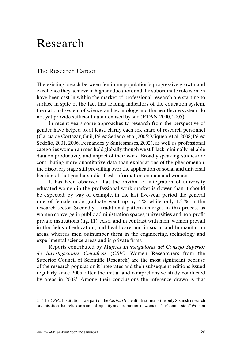# Research

# The Research Career

The existing breach between feminine population's progressive growth and excellence they achieve in higher education, and the subordinate role women have been cast in within the market of professional research are starting to surface in spite of the fact that leading indicators of the education system, the national system of science and technology and the healthcare system, do not yet provide sufficient data itemised by sex (ETAN, 2000, 2005).

In recent years some approaches to research from the perspective of gender have helped to, at least, clarify each sex share of research personnel (García de Cortázar, Guil, Pérez Sedeño, et al, 2005; Miqueo, et al, 2008; Pérez Sedeño, 2001, 2006; Fernández y Santesmases, 2002), as well as professional categories women an men hold globally, though we still lack minimally reliable data on productivity and impact of their work. Broadly speaking, studies are contributing more quantitative data than explanations of the phenomenon, the discovery stage still prevailing over the application or social and universal bearing of that gender studies fresh information on men and women.

It has been observed that the rhythm of integration of university educated women in the professional work market is slower than it should be expected; by way of example, in the last five-year period the general rate of female undergraduate went up by 4% while only 1.3% in the research sector. Secondly a traditional pattern emerges in this process as women converge in public administration spaces, universities and non-profit private institutions (fig. 11). Also, and in contrast with men, women prevail in the fields of education, and healthcare and in social and humanitarian areas, whereas men outnumber them in the engineering, technology and experimental science areas and in private firms.

Reports contributed by *Mujeres Investigadoras del Consejo Superior de Investigaciones Científicas* (*CSIC;* Women Researchers from the Superior Council of Scientific Research) are the most significant because of the research population it integrates and their subsequent editions issued regularly since 2005, after the initial and comprehensive study conducted by areas in 2002<sup>2</sup>. Among their conclusions the inference drawn is that

<sup>2</sup> The *CSIC,* Institution now part of the *Carlos III* Health Institute is the only Spanish research organisation that relies on a unit of equality and promotion of women. The Commission "Women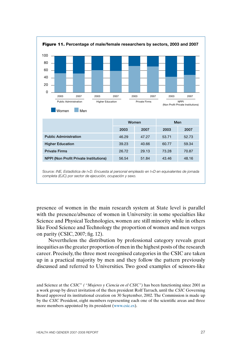

presence of women in the main research system at State level is parallel with the presence/absence of women in University: in some specialties like Science and Physical Technologies, women are still minority while in others like Food Science and Technology the proportion of women and men verges on parity (CSIC, 2007; fig. 12).

Nevertheless the distribution by professional category reveals great inequities as the greater proportion of men in the highest posts of the research career. Precisely, the three most recognised categories in the CSIC are taken up in a practical majority by men and they follow the pattern previously discussed and referred to Universities. Two good examples of scissors-like

and Science at the *CSIC*" *( "Mujeres y Ciencia en el CSIC")* has been functioning since 2001 as a work group by direct invitation of the then president Rolf Tarrach, until the *CSIC* Governing Board approved its institutional creation on 30 September, 2002. The Commission is made up by the *CSIC* President, eight members representing each one of the scientific areas and three more members appointed by its president (www.csic.es).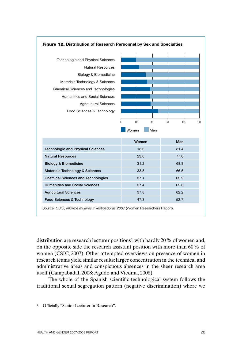

# Figure 12. **Distribution of Research Personnel by Sex and Specialties**

distribution are research lecturer positions<sup>3</sup>, with hardly 20 % of women and, on the opposite side the research assistant position with more than 60% of women (CSIC, 2007). Other attempted overviews on presence of women in research teams yield similar results: larger concentration in the technical and administrative areas and conspicuous absences in the sheer research area itself (Campabadal, 2008; Agudo and Viedma, 2008).

The whole of the Spanish scientific-technological system follows the traditional sexual segregation pattern (negative discrimination) where we

<sup>3</sup> Officially "Senior Lecturer in Research".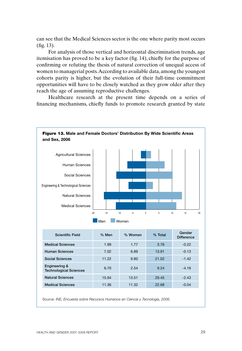can see that the Medical Sciences sector is the one where parity most occurs (fig. 13).

For analysis of those vertical and horizontal discrimination trends, age itemisation has proved to be a key factor (fig. 14), chiefly for the purpose of confirming or refuting the thesis of natural correction of unequal access of women to managerial posts. According to available data, among the youngest cohorts parity is higher, but the evolution of their full-time commitment opportunities will have to be closely watched as they grow older after they reach the age of assuming reproductive challenges.

Healthcare research at the present time depends on a series of financing mechanisms, chiefly funds to promote research granted by state



Source: *INE, Encuesta sobre Recursos Humanos en Ciencia y Tecnología, 2006.*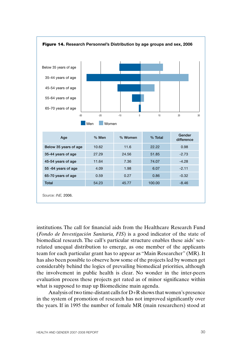

institutions. The call for financial aids from the Healthcare Research Fund (*Fondo de Investigación Sanitaria, FIS*) is a good indicator of the state of biomedical research. The call's particular structure enables these aids' sexrelated unequal distribution to emerge, as one member of the applicants team for each particular grant has to appear as "Main Researcher" (MR). It has also been possible to observe how some of the projects led by women get considerably behind the logics of prevailing biomedical priorities, although the involvement in public health is clear. No wonder in the inter-peers evaluation process these projects get rated as of minor significance within what is supposed to map up Biomedicine main agenda.

Analysis of two time-distant calls for D+R shows that women's presence in the system of promotion of research has not improved significantly over the years. If in 1995 the number of female MR (main researchers) stood at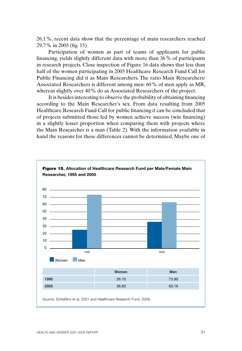26.1%, recent data show that the percentage of main researchers reached 29.7% in 2005 (fig. 15).

Participation of women as part of teams of applicants for public financing, yields slightly different data with more than 36% of participants in research projects. Close inspection of Figure 16 data shows that less than half of the women participating in 2005 Healthcare Research Fund Call for Public Financing did it as Main Researchers. The ratio Main Researchers/ Associated Researchers is different among men: 60% of men apply as MR, whereas slightly over 40% do as Associated Researchers of the project.

It is besides interesting to observe the probability of obtaining financing according to the Main Researcher's sex. From data resulting from 2005 Healthcare Research Fund Call for public financing it can be concluded that of projects submitted those led by women achieve success (win financing) in a slightly lesser proportion when comparing them with projects where the Main Researcher is a man (Table 2). With the information available in hand the reasons for these differences cannot be determined. Maybe one of

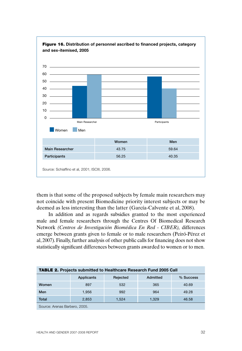

Figure 16. **Distribution of personnel ascribed to financed projects, category** 

them is that some of the proposed subjects by female main researchers may not coincide with present Biomedicine priority interest subjects or may be deemed as less interesting than the latter (García-Calvente et al, 2008).

In addition and as regards subsidies granted to the most experienced male and female researchers through the Centres Of Biomedical Research Network *(Centros de Investigación Biomédica En Red - CIBER),* differences emerge between grants given to female or to male researchers (Peiró-Pérez et al, 2007). Finally, further analysis of other public calls for financing does not show statistically significant differences between grants awarded to women or to men.

| <b>TABLE 2.</b> Projects submitted to Healthcare Research Fund 2005 Call |            |          |          |           |  |  |  |
|--------------------------------------------------------------------------|------------|----------|----------|-----------|--|--|--|
|                                                                          | Applicants | Rejected | Admitted | % Success |  |  |  |
| Women                                                                    | 897        | 532      | 365      | 40.69     |  |  |  |
| Men                                                                      | 1.956      | 992      | 964      | 49.28     |  |  |  |
| Total                                                                    | 2.853      | 1.524    | 1.329    | 46.58     |  |  |  |
| Source: Arenas Barbero, 2005.                                            |            |          |          |           |  |  |  |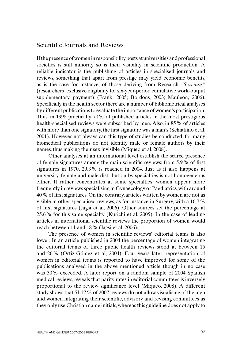# Scientific Journals and Reviews

If the presence of women in responsibility posts at universities and professional societies is still minority so is their visibility in scientific production. A reliable indicator is the publishing of articles in specialised journals and reviews, something that apart from prestige may yield economic benefits, as is the case for instance, of those deriving from Research *"Sexenios"* (researchers' exclusive eligibility for six-year-period cumulative work-output supplementary payment) (Frank, 2005; Bordons, 2003; Mauleón, 2006). Specifically in the health sector there are a number of bibliometrical analyses by different publications to evaluate the importance of women's participation. Thus, in 1998 practically 70% of published articles in the most prestigious health-specialised reviews were subscribed by men. Also, in 85% of articles with more than one signatory, the first signature was a man's (Schiaffino et al, 2001). However not always can this type of studies be conducted, for many biomedical publications do not identify male or female authors by their names, thus making their sex invisible (Miqueo et al, 2008).

Other analyses at an international level establish the scarce presence of female signatures among the main scientific reviews: from 5.9% of first signatures in 1970, 29.3% is reached in 2004. Just as it also happens at university, female and male distribution by specialties is not homogeneous either. It rather concentrates at some specialties: women appear more frequently in reviews specialising in Gynaecology or Paediatrics, with around 40% of first signatures. On the contrary, articles written by women are not as visible in other specialised reviews, as for instance in Surgery, with a 16.7% of first signatures (Jagsi et al, 2006). Other sources set the percentage at 25.6% for this same specialty (Kurichi et al, 2005). In the case of leading articles in international scientific reviews the proportion of women would reach between 11 and 18% (Jagsi et al, 2006).

The presence of women in scientific reviews' editorial teams is also lower. In an article published in 2004 the percentage of women integrating the editorial teams of three public health reviews stood at between 15 and 26% (Ortiz-Gómez et al, 2004). Four years later, representation of women in editorial teams is reported to have improved for some of the publications analysed in the above mentioned article though in no case was 30% exceeded. A later report on a random sample of 2004 Spanish medical reviews, reveals that parity rates in editorial committees is inversely proportional to the review significance level (Miqueo, 2008). A different study shows that 51.17% of 2007 reviews do not allow visualising of the men and women integrating their scientific, advisory and revising committees as they only use Christian name initials, whereas this guideline does not apply to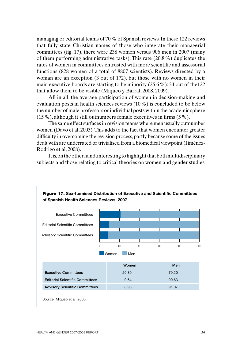managing or editorial teams of 70% of Spanish reviews. In these 122 reviews that fully state Christian names of those who integrate their managerial committees (fig. 17), there were 238 women versus 906 men in 2007 (many of them performing administrative tasks). This rate (20.8%) duplicates the rates of women in committees entrusted with more scientific and assessorial functions (828 women of a total of 8807 scientists). Reviews directed by a woman are an exception (3 out of 172), but those with no women in their main executive boards are starting to be minority (25.6%): 34 out of the122 that allow them to be visible (Miqueo y Barral, 2008, 2009).

All in all, the average participation of women in decision-making and evaluation posts in health sciences reviews (10%) is concluded to be below the number of male professors or individual posts within the academic sphere (15%), although it still outnumbers female executives in firms (5%).

The same effect surfaces in revision teams where men usually outnumber women (Davo et al, 2003). This adds to the fact that women encounter greater difficulty in overcoming the revision process, partly because some of the issues dealt with are underrated or trivialised from a biomedical viewpoint (Jiménez-Rodrigo et al, 2008).

It is, on the other hand, interesting to highlight that both multidisciplinary subjects and those relating to critical theories on women and gender studies,

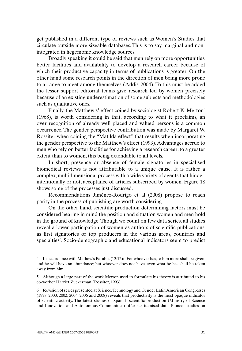get published in a different type of reviews such as Women's Studies that circulate outside more sizeable databases. This is to say marginal and nonintegrated in hegemonic knowledge sources.

Broadly speaking it could be said that men rely on more opportunities, better facilities and availability to develop a research career because of which their productive capacity in terms of publications is greater. On the other hand some research points in the direction of men being more prone to arrange to meet among themselves (Addis, 2004). To this must be added the lesser support editorial teams give research led by women precisely because of an existing underestimation of some subjects and methodologies such as qualitative ones.

Finally, the Matthew's<sup>4</sup> effect coined by sociologist Robert K. Merton<sup>5</sup> (1968), is worth considering in that, according to what it proclaims, an over recognition of already well placed and valued persons is a common occurrence. The gender perspective contribution was made by Margaret W. Rossiter when coining the "Matilda effect" that results when incorporating the gender perspective to the Matthew's effect (1993). Advantages accrue to men who rely on better facilities for achieving a research career, to a greater extent than to women, this being extendable to all levels.

In short, presence or absence of female signatories in specialised biomedical reviews is not attributable to a unique cause. It is rather a complex, multidimensional process with a wide variety of agents that hinder, intentionally or not, acceptance of articles subscribed by women. Figure 18 shows some of the processes just discussed.

Recommendations Jiménez-Rodrigo et al (2008) propose to reach parity in the process of publishing are worth considering.

On the other hand, scientific production determining factors must be considered bearing in mind the position and situation women and men hold in the ground of knowledge. Though we count on few data series, all studies reveal a lower participation of women as authors of scientific publications, as first signatories or top producers in the various areas, countries and specialties<sup>6</sup>. Socio-demographic and educational indicators seem to predict

<sup>4</sup> In accordance with Mathew's Parable (13:12): "For whoever has, to him more shall be given, and he will have an abundance; but whoever does not have, even what he has shall be taken away from him".

<sup>5</sup> Although a large part of the work Merton used to formulate his theory is attributed to his co-worker Harriet Zuckerman (Rossiter, 1993).

<sup>6</sup> Revision of series presented at Science, Technology and Gender Latin American Congresses (1998, 2000, 2002, 2004, 2006 and 2008) reveals that productivity is the most opaque indicator of scientific activity. The latest studies of Spanish scientific production (Ministry of Science and Innovation and Autonomous Communities) offer sex-itemised data. Pioneer studies on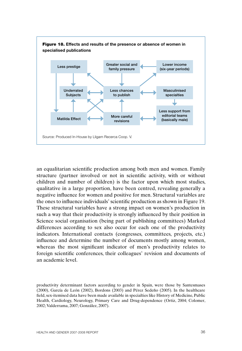

an equalitarian scientific production among both men and women. Family structure (partner involved or not in scientific activity, with or without children and number of children) is the factor upon which most studies, qualitative in a large proportion, have been centred, revealing generally a negative influence for women and positive for men. Structural variables are the ones to influence individuals' scientific production as shown in Figure 19. These structural variables have a strong impact on women's production in such a way that their productivity is strongly influenced by their position in Science social organisation (being part of publishing committees) Marked differences according to sex also occur for each one of the productivity indicators. International contacts (congresses, committees, projects, etc.) influence and determine the number of documents mostly among women, whereas the most significant indicator of men's productivity relates to foreign scientific conferences, their colleagues' revision and documents of an academic level.

productivity determinant factors according to gender in Spain, were those by Santesmases (2000), García de León (2002), Bordons (2003) and Pérez Sedeño (2005). In the healthcare field, sex-itemised data have been made available in specialties like History of Medicine, Public Health, Cardiology, Neurology, Primary Care and Drug-dependence (Ortiz, 2004; Colomer, 2002; Valderrama, 2007; González, 2007).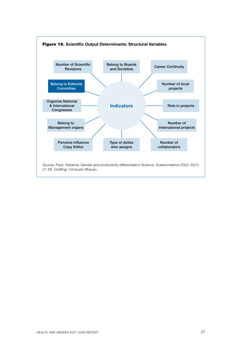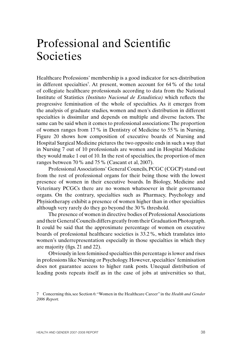# Professional and Scientific Societies

Healthcare Professions' membership is a good indicator for sex-distribution in different specialties7 . At present, women account for 64% of the total of collegiate healthcare professionals according to data from the National Institute of Statistics *(Instituto Nacional de Estadística)* which reflects the progressive feminisation of the whole of specialties. As it emerges from the analysis of graduate studies, women and men's distribution in different specialties is dissimilar and depends on multiple and diverse factors. The same can be said when it comes to professional associations: The proportion of women ranges from 17% in Dentistry of Medicine to 55% in Nursing. Figure 20 shows how composition of executive boards of Nursing and Hospital Surgical Medicine pictures the two opposite ends in such a way that in Nursing 7 out of 10 professionals are women and in Hospital Medicine they would make 1 out of 10. In the rest of specialties, the proportion of men ranges between 70% and 75% (Cascant et al, 2007).

Professional Associations' General Councils, PCGC (CGCP) stand out from the rest of professional organs for their being those with the lowest presence of women in their executive boards. In Biology, Medicine and Veterinary PCGCs there are no women whatsoever in their governance organs. On the contrary, specialties such as Pharmacy, Psychology and Phyisiotherapy exhibit a presence of women higher than in other specialties although very rarely do they go beyond the 30% threshold.

The presence of women in directive bodies of Professional Associations and their General Councils differs greatly from their Graduation Photograph. It could be said that the approximate percentage of women on executive boards of professional healthcare societies is 33.2%, which translates into women's underrepresentation especially in those specialties in which they are majority (figs. 21 and 22).

Obviously in less feminised specialties this percentage is lower and rises in professions like Nursing or Psychology. However, specialties' feminisation does not guarantee access to higher rank posts. Unequal distribution of leading posts repeats itself as in the case of jobs at universities so that,

<sup>7</sup> Concerning this, see Section 6: "Women in the Healthcare Career" in the *Health and Gender 2006 Report.*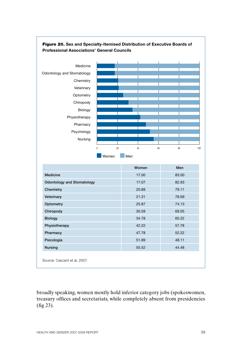

### Figure 20. **Sex and Specialty-Itemised Distribution of Executive Boards of Professional Associations' General Councils**

Source: Cascant et al, 2007.

broadly speaking, women mostly hold inferior category jobs (spokeswomen, treasury offices and secretariats, while completely absent from presidencies (fig 23).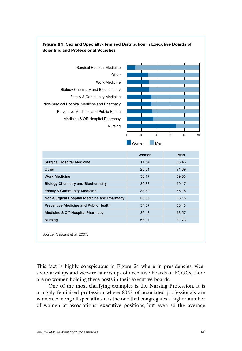

### Figure 21. **Sex and Specialty-Itemised Distribution in Executive Boards of Scientific and Professional Societies**

This fact is highly conspicuous in Figure 24 where in presidencies, vicesecretaryships and vice-treasurerships of executive boards of PCGCs, there are no women holding these posts in their executive boards.

One of the most clarifying examples is the Nursing Profession. It is a highly feminised profession where 80% of associated professionals are women. Among all specialties it is the one that congregates a higher number of women at associations' executive positions, but even so the average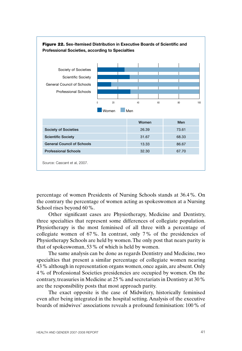

percentage of women Presidents of Nursing Schools stands at 36.4%. On the contrary the percentage of women acting as spokeswomen at a Nursing School rises beyond 60%.

Other significant cases are Physiotherapy, Medicine and Dentistry, three specialties that represent some differences of collegiate population. Physiotherapy is the most feminised of all three with a percentage of collegiate women of 67%. In contrast, only 7% of the presidencies of Physiotherapy Schools are held by women. The only post that nears parity is that of spokeswoman, 53% of which is held by women.

The same analysis can be done as regards Dentistry and Medicine, two specialties that present a similar percentage of collegiate women nearing 43% although in representation organs women, once again, are absent. Only 4% of Professional Societies presidencies are occupied by women. On the contrary, treasuries in Medicine at 25% and secretariats in Dentistry at 30% are the responsibility posts that most approach parity.

The exact opposite is the case of Midwifery, historically feminised even after being integrated in the hospital setting. Analysis of the executive boards of midwives' associations reveals a profound feminisation: 100% of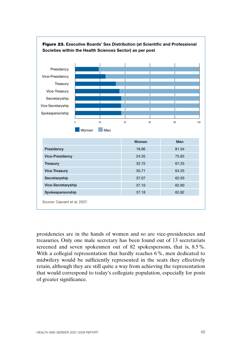

#### Figure 23. **Executive Boards' Sex Distribution (at Scientific and Professional Societies within the Health Sciences Sector) as per post**

presidencies are in the hands of women and so are vice-presidencies and treasuries. Only one male secretary has been found out of 13 secretariats screened and seven spokesmen out of 82 spokespersons, that is, 8.5%. With a collegial representation that hardly reaches 6%, men dedicated to midwifery would be sufficiently represented in the seats they effectively retain, although they are still quite a way from achieving the representation that would correspond to today's collegiate population, especially for posts of greater significance.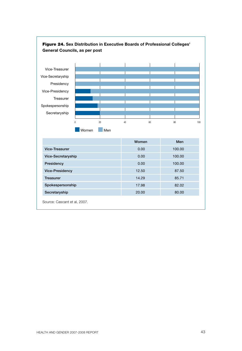

Secretaryship 20.00 80.00

Source: Cascant et al, 2007.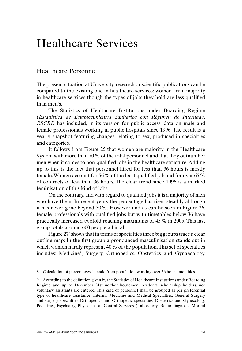# Healthcare Services

## Healthcare Personnel

The present situation at University, research or scientific publications can be compared to the existing one in healthcare services: women are a majority in healthcare services though the types of jobs they hold are less qualified than men's.

The Statistics of Healthcare Institutions under Boarding Regime (*Estadística de Establecimientos Sanitarios con Régimen de Internado, ESCRI)* has included, in its version for public access, data on male and female professionals working in public hospitals since 1996. The result is a yearly snapshot featuring changes relating to sex, produced in specialties and categories.

It follows from Figure 25 that women are majority in the Healthcare System with more than 70% of the total personnel and that they outnumber men when it comes to non-qualified jobs in the healthcare structure. Adding up to this, is the fact that personnel hired for less than 36 hours is mostly female. Women account for 56% of the least qualified job and for over 65% of contracts of less than 36 hours. The clear trend since 1996 is a marked feminisation of this kind of jobs.

On the contrary, and with regard to qualified jobs it is a majority of men who have them. In recent years the percentage has risen steadily although it has never gone beyond 30%. However and as can be seen in Figure 26, female professionals with qualified jobs but with timetables below 36 have practically increased twofold reaching maximums of 45% in 2005. This last group totals around 600 people all in all.

Figure 27<sup>8</sup> shows that in terms of specialties three big groups trace a clear outline map: In the first group a pronounced masculinisation stands out in which women hardly represent 40% of the population. This set of specialties includes: Medicine<sup>9</sup>, Surgery, Orthopedics, Obstetrics and Gynaecology,

8 Calculation of percentages is made from population working over 36 hour timetables.

9 According to the definition given by the Statistics of Healthcare Institutions under Boarding Regime and up to December 31st neither housemen, residents, scholarship holders, nor voluntary assistants are entered. This kind of personnel shall be grouped as per preferential type of healthcare assistance: Internal Medicine and Medical Specialties, General Surgery and surgery specialties Orthopedics and Orthopedic specialties, Obstetrics and Gynecology, Pediatrics, Psychiatry, Physicians at Central Services (Laboratory, Radio-diagnosis, Morbid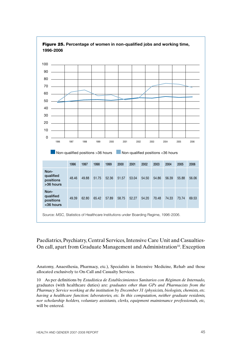

#### Figure 25. **Percentage of women in non-qualified jobs and working time, 1996-2006**

### Paediatrics, Psychiatry, Central Services, Intensive Care Unit and Casualties-On call, apart from Graduate Management and Administration<sup>10</sup>. Exception

Anatomy, Anaesthesia, Pharmacy, etc.), Specialists in Intensive Medicine, Rehab and those allocated exclusively to On-Call and Casualty Services.

10 As per definitions by *Estadística de Establecimientos Sanitarios con Régimen de Internado,* graduates (with healthcare duties) are: *graduates other than GPs and Pharmacists from the Pharmacy Service working at the institution by December 31 (physicists, biologists, chemists, etc. having a healthcare function: laboratories, etc. In this computation, neither graduate residents, nor scholarship holders, voluntary assistants, clerks, equipment maintenance professionals, etc,* will be entered.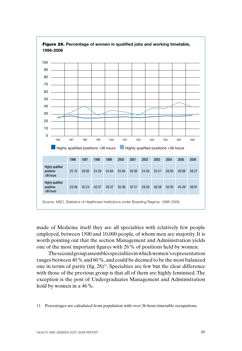



made of Medicine itself they are all specialties with relatively few people employed, between 1500 and 10,000 people, of whom men are majority. It is worth pointing out that the section Management and Administration yields one of the most important figures with 26% of positions held by women.

The second group assembles specialties in which women's representation ranges between 40% and 60%, and could be deemed to be the most balanced one in terms of parity (fig.  $28$ )<sup>11</sup>. Specialties are few but the clear difference with those of the previous group is that all of them are highly feminised. The exception is the post of Undergraduates Management and Administration hold by women in a 46%.

<sup>11</sup> Percentages are calculated from population with over-36-hour-timetable occupations.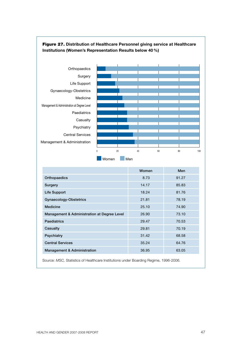

#### Figure 27. **Distribution of Healthcare Personnel giving service at Healthcare Institutions (Women's Representation Results below 40 %)**

|                                             | Women | Men   |
|---------------------------------------------|-------|-------|
| Orthopaedics                                | 8.73  | 91.27 |
| Surgery                                     | 14.17 | 85.83 |
| Life Support                                | 18.24 | 81.76 |
| Gynaecology-Obstetrics                      | 21.81 | 78.19 |
| Medicine                                    | 25.10 | 74.90 |
| Management & Administration at Degree Level | 26.90 | 73.10 |
| <b>Paediatrics</b>                          | 29.47 | 70.53 |
| Casualty                                    | 29.81 | 70.19 |
| Psychiatry                                  | 31.42 | 68.58 |
| <b>Central Services</b>                     | 35.24 | 64.76 |
| <b>Management &amp; Administration</b>      | 36.95 | 63.05 |

Source: *MSC,* Statistics of Healthcare Institutions under Boarding Regime, 1996-2006.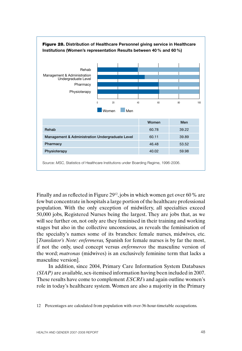

Finally and as reflected in Figure 29<sup>12</sup>, jobs in which women get over 60 % are few but concentrate in hospitals a large portion of the healthcare professional population. With the only exception of midwifery, all specialties exceed 50,000 jobs, Registered Nurses being the largest. They are jobs that, as we will see further on, not only are they feminised in their training and working stages but also in the collective unconscious, as reveals the feminisation of the specialty's names some of its branches: female nurses, midwives, etc. [*Translator's Note: enfermeras,* Spanish for female nurses is by far the most, if not the only, used concept versus *enfermeros* the masculine version of the word; *matronas* (midwives) is an exclusively feminine term that lacks a masculine version].

In addition, since 2004, Primary Care Information System Databases *(SIAP)* are available, sex-itemised information having been included in 2007. These results have come to complement *ESCRI's* and again outline women's role in today's healthcare system. Women are also a majority in the Primary

<sup>12</sup> Percentages are calculated from population with over-36-hour-timetable occupations.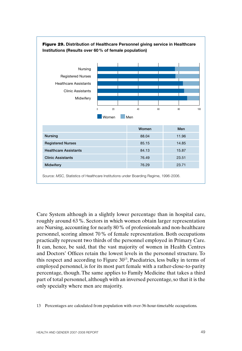

Care System although in a slightly lower percentage than in hospital care, roughly around 63%. Sectors in which women obtain larger representation are Nursing, accounting for nearly 80% of professionals and non-healthcare personnel, scoring almost 70% of female representation. Both occupations practically represent two thirds of the personnel employed in Primary Care. It can, hence, be said, that the vast majority of women in Health Centres and Doctors' Offices retain the lowest levels in the personnel structure. To this respect and according to Figure 3013, Paediatrics, less bulky in terms of employed personnel, is for its most part female with a rather-close-to-parity percentage, though. The same applies to Family Medicine that takes a third part of total personnel, although with an inversed percentage, so that it is the only specialty where men are majority.

<sup>13</sup> Percentages are calculated from population with over-36-hour-timetable occupations.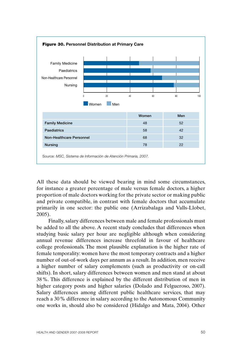

All these data should be viewed bearing in mind some circumstances, for instance a greater percentage of male versus female doctors, a higher proportion of male doctors working for the private sector or making public and private compatible, in contrast with female doctors that accumulate primarily in one sector: the public one (Arrizabalaga and Valls-Llobet, 2005).

Finally, salary differences between male and female professionals must be added to all the above. A recent study concludes that differences when studying basic salary per hour are negligible although when considering annual revenue differences increase threefold in favour of healthcare college professionals. The most plausible explanation is the higher rate of female temporality: women have the most temporary contracts and a higher number of out-of-work days per annum as a result. In addition, men receive a higher number of salary complements (such as productivity or on-call shifts). In short, salary differences between women and men stand at about 38%. This difference is explained by the different distribution of men in higher category posts and higher salaries (Dolado and Felgueroso, 2007). Salary differences among different public healthcare services, that may reach a 30% difference in salary according to the Autonomous Community one works in, should also be considered (Hidalgo and Mata, 2004). Other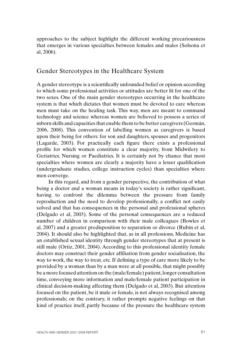approaches to the subject highlight the different working precariousness that emerges in various specialties between females and males (Solsona et al, 2006).

### Gender Stereotypes in the Healthcare System

A gender stereotype is a scientifically unfounded belief or opinion according to which some professional activities or attitudes are better fit for one of the two sexes. One of the main gender stereotypes occurring in the healthcare system is that which dictates that women must be devoted to care whereas men must take on the healing task. This way, men are meant to command technology and science whereas women are believed to possess a series of inborn skills and capacities that enable them to be better caregivers (Germán, 2006, 2008). This convention of labelling women as caregivers is based upon their being for others: for son and daughters, spouses and progenitors (Lagarde, 2003). For practically each figure there exists a professional profile for which women constitute a clear majority, from Midwifery to Geriatrics, Nursing or Paediatrics. It is certainly not by chance that most specialties where women are clearly a majority have a lesser qualification (undergraduate studies, college instruction cycles) than specialties where men converge.

In this regard, and from a gender perspective, the contribution of what being a doctor and a woman means in today's society is rather significant, having to confront the dilemma between the pressure from family reproduction and the need to develop professionally, a conflict not easily solved and that has consequences in the personal and professional spheres (Delgado et al, 2003). Some of the personal consequences are a reduced number of children in comparison with their male colleagues (Bowles et al, 2007) and a greater predisposition to separation or divorce (Rubin et al, 2004). It should also be highlighted that, as in all professions, Medicine has an established sexual identity through gender stereotypes that at present is still male (Ortiz, 2001, 2004). According to this professional identity female doctors may construct their gender affiliation from gender socialisation, the way to work, the way to treat, etc. If defining a type of care more likely to be provided by a woman than by a man were at all possible, that might possibly be a more focused attention on the (male/female) patient, longer consultation time, conveying more information and male/female patient participation in clinical decision-making affecting them (Delgado et al, 2003). But attention focused on the patient, be it male or female, is not always recognised among professionals; on the contrary, it rather prompts negative feelings on that kind of practice itself, partly because of the pressure the healthcare system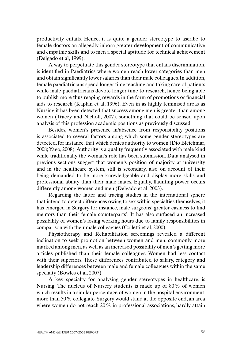productivity entails. Hence, it is quite a gender stereotype to ascribe to female doctors an allegedly inborn greater development of communicative and empathic skills and to men a special aptitude for technical achievement (Delgado et al, 1999).

A way to perpetuate this gender stereotype that entails discrimination, is identified in Paediatrics where women reach lower categories than men and obtain significantly lower salaries than their male colleagues. In addition, female paediatricians spend longer time teaching and taking care of patients while male paediatricians devote longer time to research, hence being able to publish more thus reaping rewards in the form of promotions or financial aids to research (Kaplan et al, 1996). Even in as highly feminised areas as Nursing it has been detected that success among men is greater than among women (Tracey and Nicholl, 2007), something that could be sensed upon analysis of this profession academic positions as previously discussed.

Besides, women's presence in/absence from responsibility positions is associated to several factors among which some gender stereotypes are detected, for instance, that which denies authority to women (Dio Bleichmar, 2008; Yago, 2008). Authority is a quality frequently associated with male kind while traditionally the woman's role has been submission. Data analysed in previous sections suggest that women's position of majority at university and in the healthcare system, still is secondary, also on account of their being demanded to be more knowledgeable and display more skills and professional ability than their male mates. Equally, flaunting power occurs differently among women and men (Delgado et al, 2003).

Regarding the latter and tracing studies in the international sphere that intend to detect differences owing to sex within specialties themselves, it has emerged in Surgery for instance, male surgeons' greater easiness to find mentors than their female counterparts'. It has also surfaced an increased possibility of women's losing working hours due to family responsibilities in comparison with their male colleagues (Colletti et al, 2000).

Physiotherapy and Rehabilitation screenings revealed a different inclination to seek promotion between women and men, commonly more marked among men, as well as an increased possibility of men's getting more articles published than their female colleagues. Women had less contact with their superiors. These differences contributed to salary, category and leadership differences between male and female colleagues within the same specialty (Bowles et al, 2007).

A key specialty for analysing gender stereotypes in healthcare, is Nursing. The nucleus of Nursery students is made up of 80% of women which results in a similar percentage of women in the hospital environment, more than 50% collegiate. Surgery would stand at the opposite end; an area where women do not reach 20% in professional associations, hardly attain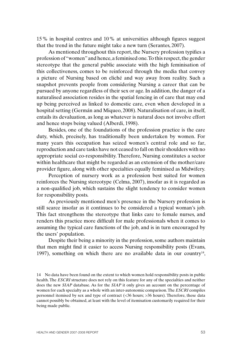15% in hospital centres and 10% at universities although figures suggest that the trend in the future might take a new turn (Serantes, 2007).

As mentioned throughout this report, the Nursery profession typifies a profession of "women" and hence, a feminised one. To this respect, the gender stereotype that the general public associate with the high feminisation of this collectiveness, comes to be reinforced through the media that convey a picture of Nursing based on cliché and way away from reality. Such a snapshot prevents people from considering Nursing a career that can be pursued by anyone regardless of their sex or age. In addition, the danger of a naturalised association resides in the spatial fencing in of care that may end up being perceived as linked to domestic care, even when developed in a hospital setting (Germán and Miqueo, 2008). Naturalisation of care, in itself, entails its devaluation, as long as whatever is natural does not involve effort and hence stops being valued (Alberdi, 1998).

Besides, one of the foundations of the profession practice is the care duty, which, precisely, has traditionally been undertaken by women. For many years this occupation has seized women's central role and so far, reproduction and care tasks have not ceased to fall on their shoulders with no appropriate social co-responsibility. Therefore, Nursing constitutes a sector within healthcare that might be regarded as an extension of the mother/care provider figure, along with other specialties equally feminised as Midwifery.

Perception of nursery work as a profession best suited for women reinforces the Nursing stereotype (Celma, 2007), insofar as it is regarded as a non-qualified job, which sustains the slight tendency to consider women for responsibility posts.

As previously mentioned men's presence in the Nursery profession is still scarce insofar as it continues to be considered a typical woman's job. This fact strengthens the stereotype that links care to female nurses, and renders this practice more difficult for male professionals when it comes to assuming the typical care functions of the job, and is in turn encouraged by the users' population.

Despite their being a minority in the profession, some authors maintain that men might find it easier to access Nursing responsibility posts (Evans, 1997), something on which there are no available data in our country<sup>14</sup>,

<sup>14</sup> No data have been found on the extent to which women hold responsibility posts in public health. The *ESCRI* structure does not rely on this feature for any of the specialties and neither does the new *SIAP* database. As for the *SIAP* it only gives an account on the percentage of women for each specialty as a whole with an inter-autonomic comparison. The *ESCRI* compiles personnel itemised by sex and type of contract (<36 hours; >36 hours). Therefore, these data cannot possibly be obtained, at least with the level of itemisation customarily required for their being made public.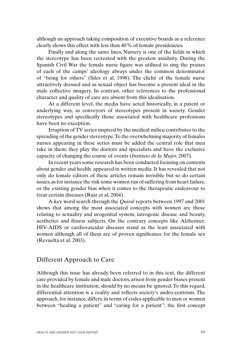although an approach taking composition of executive boards as a reference clearly shows this effect with less than 40% of female presidencies.

Finally and along the same lines, Nursery is one of the fields in which the stereotype has been recreated with the greatest assiduity. During the Spanish Civil War the female nurse figure was utilised to sing the praises of each of the camps' ideology always under the common denominator of "being for others" (Siles et al, 1998). The cliché of the female nurse attractively dressed and as sexual object has become a present ideal in the male collective imagery. In contrast, other references to the professional character and quality of care are absent from this idealisation.

At a different level, the media have acted historically, in a patent or underlying way, as conveyors of stereotypes present in society. Gender stereotypes and specifically those associated with healthcare professions have been no exception.

Irruption of TV series inspired by the medical milieu contributes to the spreading of the gender stereotype. To the overwhelming majority of females nurses appearing in these series must be added the central role that men take in them: they play the doctors and specialists and have the exclusive capacity of changing the course of events (*Instituto de la Mujer,* 2007).

In recent years some research has been conducted focusing on contents about gender and health. appeared in written media. It has revealed that not only do female editors of these articles remain invisible but so do certain issues, as for instance the risk some women run of suffering from heart failure, or the existing gender bias when it comes to the therapeutic endeavour to treat certain diseases (Ruiz et al, 2004).

A key word search through the *Quiral* reports between 1997 and 2001 shows that among the most associated concepts with women are those relating to sexuality and urogenital system, iatrogenic disease and beauty, aesthetics and fitness subjects. On the contrary concepts like Alzheimer, HIV-AIDS or cardiovascular diseases stand as the least associated with women although all of them are of proven significance for the female sex (Revuelta et al, 2003).

### Different Approach to Care

Although this issue has already been referred to in this text, the different care provided by female and male doctors, arisen from gender biases present in the healthcare institution, should by no means be ignored. To this regard, differential attention is a reality and reflects society's andro-centrism. The approach, for instance, differs, in terms of codes applicable to men or women between "healing a patient" and "caring for a patient"; the first concept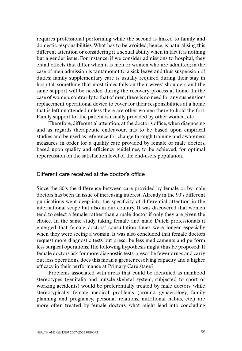requires professional performing while the second is linked to family and domestic responsibilities. What has to be avoided, hence, is naturalising this different attention or considering it a sexual ability when in fact it is nothing but a gender issue. For instance, if we consider admissions to hospital, they entail effects that differ when it is men or women who are admitted; in the case of men admission is tantamount to a sick leave and thus suspension of duties; family supplementary care is usually required during their stay in hospital, something that most times falls on their wives' shoulders and the same support will be needed during the recovery process at home. In the case of women, contrarily to that of men, there is no need for any suspension/ replacement operational device to cover for their responsibilities at a home that is left unattended unless there are other women there to hold the fort. Family support for the patient is usually provided by other women, etc.

Therefore, differential attention, at the doctor's office, when diagnosing and as regards therapeutic endeavour, has to be based upon empirical studies and be used as reference for change through training and awareness measures, in order for a quality care provided by female or male doctors, based upon quality and efficiency guidelines, to be achieved, for optimal repercussion on the satisfaction level of the end-users population.

### Different care received at the doctor's office

Since the 80's the difference between care provided by female or by male doctors has been an issue of increasing interest. Already in the 90's different publications went deep into the specificity of differential attention in the international scope but also in our country. It was discovered that women tend to select a female rather than a male doctor if only they are given the choice. In the same study taking female and male Dutch professionals it emerged that female doctors' consultation times were longer especially when they were seeing a woman. It was also concluded that female doctors request more diagnostic tests but prescribe less medicaments and perform less surgical operations. The following hypothesis might thus be proposed: If female doctors ask for more diagnostic tests, prescribe fewer drugs and carry out less operations, does this mean a greater resolving capacity and a higher efficacy in their performance at Primary Care stage?

Problems associated with areas that could be identified as manhood stereotypes (genitalia and muscle-skeletal system, subjected to sport or working accidents) would be preferentially treated by male doctors, while stereotypically female medical problems (around gynaecology, family planning and pregnancy, personal relations, nutritional habits, etc.) are more often treated by female doctors, what might lead into concluding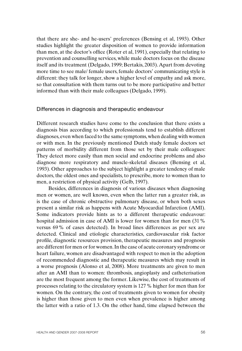that there are she- and he-users' preferences (Bensing et al, 1993). Other studies highlight the greater disposition of women to provide information than men, at the doctor's office (Roter et al, 1991), especially that relating to prevention and counselling services, while male doctors focus on the disease itself and its treatment (Delgado, 1999; Bertakis, 2003). Apart from devoting more time to see male/ female users, female doctors' communicating style is different: they talk for longer, show a higher level of empathy and ask more, so that consultation with them turns out to be more participative and better informed than with their male colleagues (Delgado, 1999).

#### Differences in diagnosis and therapeutic endeavour

Different research studies have come to the conclusion that there exists a diagnosis bias according to which professionals tend to establish different diagnoses, even when faced to the same symptoms, when dealing with women or with men. In the previously mentioned Dutch study female doctors set patterns of morbidity different from those set by their male colleagues: They detect more easily than men social and endocrine problems and also diagnose more respiratory and muscle-skeletal diseases (Bensing et al, 1993). Other approaches to the subject highlight a greater tendency of male doctors, the oldest ones and specialists, to prescribe, more to women than to men, a restriction of physical activity (Gelb, 1997).

Besides, differences in diagnosis of various diseases when diagnosing men or women, are well known, even when the latter run a greater risk, as is the case of chronic obstructive pulmonary disease, or when both sexes present a similar risk as happens with Acute Myocardial Infarction (AMI). Some indicators provide hints as to a different therapeutic endeavour: hospital admission in case of AMI is lower for women than for men (31% versus 69% of cases detected). In broad lines differences as per sex are detected. Clinical and etiologic characteristics, cardiovascular risk factor profile, diagnostic resources provision, therapeutic measures and prognosis are different for men or for women. In the case of acute coronary syndrome or heart failure, women are disadvantaged with respect to men in the adoption of recommended diagnostic and therapeutic measures which may result in a worse prognosis (Alonso et al, 2008). More treatments are given to men after an AMI than to women: thrombosis, angioplasty and catheterisation are the most frequent among the former. Likewise, the cost of treatments of processes relating to the circulatory system is 127% higher for men than for women. On the contrary, the cost of treatments given to women for obesity is higher than those given to men even when prevalence is higher among the latter with a ratio of 1.3. On the other hand, time elapsed between the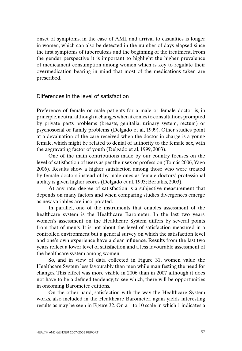onset of symptoms, in the case of AMI, and arrival to casualties is longer in women, which can also be detected in the number of days elapsed since the first symptoms of tuberculosis and the beginning of the treatment. From the gender perspective it is important to highlight the higher prevalence of medicament consumption among women which is key to regulate their overmedication bearing in mind that most of the medications taken are prescribed.

Differences in the level of satisfaction

Preference of female or male patients for a male or female doctor is, in principle, neutral although it changes when it comes to consultations prompted by private parts problems (breasts, genitalia, urinary system, rectum) or psychosocial or family problems (Delgado et al, 1999). Other studies point at a devaluation of the care received when the doctor in charge is a young female, which might be related to denial of authority to the female sex, with the aggravating factor of youth (Delgado et al, 1999, 2003).

One of the main contributions made by our country focuses on the level of satisfaction of users as per their sex or profession (Tomás 2006, Yago 2006). Results show a higher satisfaction among those who were treated by female doctors instead of by male ones as female doctors' professional ability is given higher scores (Delgado et al, 1993; Bertakis, 2003).

At any rate, degree of satisfaction is a subjective measurement that depends on many factors and when comparing studies divergences emerge as new variables are incorporated.

In parallel, one of the instruments that enables assessment of the healthcare system is the Healthcare Barometer. In the last two years, women's assessment on the Healthcare System differs by several points from that of men's. It is not about the level of satisfaction measured in a controlled environment but a general survey on which the satisfaction level and one's own experience have a clear influence. Results from the last two years reflect a lower level of satisfaction and a less favourable assessment of the healthcare system among women.

So, and in view of data collected in Figure 31, women value the Healthcare System less favourably than men while manifesting the need for changes. This effect was more visible in 2006 than in 2007 although it does not have to be a defined tendency, to see which, there will be opportunities in oncoming Barometer editions.

On the other hand, satisfaction with the way the Healthcare System works, also included in the Healthcare Barometer, again yields interesting results as may be seen in Figure 32. On a 1 to 10 scale in which 1 indicates a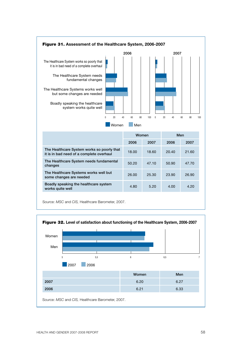

Source: *MSC* and *CIS,* Healthcare Barometer, 2007.

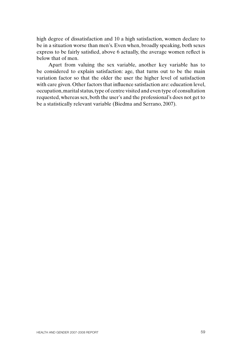high degree of dissatisfaction and 10 a high satisfaction, women declare to be in a situation worse than men's. Even when, broadly speaking, both sexes express to be fairly satisfied, above 6 actually, the average women reflect is below that of men.

Apart from valuing the sex variable, another key variable has to be considered to explain satisfaction: age, that turns out to be the main variation factor so that the older the user the higher level of satisfaction with care given. Other factors that influence satisfaction are: education level, occupation, marital status, type of centre visited and even type of consultation requested, whereas sex, both the user's and the professional's does not get to be a statistically relevant variable (Biedma and Serrano, 2007).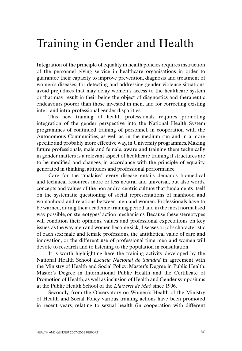# Training in Gender and Health

Integration of the principle of equality in health policies requires instruction of the personnel giving service in healthcare organisations in order to guarantee their capacity to improve prevention, diagnosis and treatment of women's diseases, for detecting and addressing gender violence situations, avoid prejudices that may delay women's access to the healthcare system or that may result in their being the object of diagnostics and therapeutic endeavours poorer than those invested in men, and for correcting existing inter- and intra-professional gender disparities.

This new training of health professionals requires promoting integration of the gender perspective into the National Health System programmes of continued training of personnel, in cooperation with the Autonomous Communities, as well as, in the medium run and in a more specific and probably more effective way, in University programmes. Making future professionals, male and female, aware and training them technically in gender matters is a relevant aspect of healthcare training if structures are to be modified and changes, in accordance with the principle of equality, generated in thinking, attitudes and professional performance.

Care for the "malaise" every disease entails demands biomedical and technical resources more or less neutral and universal, but also words, concepts and values of the non andro-centric culture that fundaments itself on the systematic questioning of social representations of manhood and womanhood and relations between men and women. Professionals have to be warned, during their academic training period and in the most normalised way possible, on stereotypes' action mechanisms. Because these stereotypes will condition their opinions, values and professional expectations on key issues, as the way men and women become sick, diseases or jobs characteristic of each sex; male and female professions, the antithetical value of care and innovation, or the different use of professional time men and women will devote to research and to listening to the population in consultation.

It is worth highlighting here the training activity developed by the National Health School *Escuela Nacional de Sanidad* in agreement with the Ministry of Health and Social Policy: Master's Degree in Public Health, Master's Degree in International Public Health and the Certificate of Promotion of Health, as well as inclusion of Health and Gender symposiums at the Public Health School of the *Llatzeret de Maó* since 1996.

Secondly, from the Observatory on Women's Health of the Ministry of Health and Social Policy various training actions have been promoted in recent years, relating to sexual health (in cooperation with different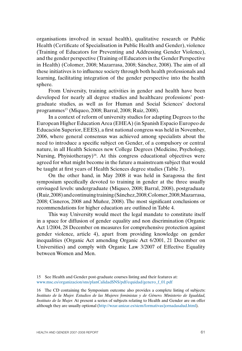organisations involved in sexual health), qualitative research or Public Health (Certificate of Specialisation in Public Health and Gender), violence (Training of Educators for Preventing and Addressing Gender Violence), and the gender perspective (Training of Educators in the Gender Perspective in Health) (Colomer, 2008; Mazarrasa, 2008; Sánchez, 2008). The aim of all these initiatives is to influence society through both health professionals and learning, facilitating integration of the gender perspective into the health sphere.

From University, training activities in gender and health have been developed for nearly all degree studies and healthcare professions' postgraduate studies, as well as for Human and Social Sciences' doctoral programmes<sup>15</sup> (Miqueo, 2008; Barral, 2008; Ruiz, 2008).

In a context of reform of university studies for adapting Degrees to the European Higher Education Area (EHEA) (in Spanish Espacio Europeo de Educación Superior, EEES), a first national congress was held in November, 2006, where general consensus was achieved among specialists about the need to introduce a specific subject on Gender, of a compulsory or central nature, in all Health Sciences new College Degrees (Medicine, Psychology, Nursing, Phyisiotherapy)<sup>16</sup>. At this congress educational objectives were agreed for what might become in the future a mainstream subject that would be taught at first years of Health Sciences degree studies (Table 3).

On the other hand, in May 2008 it was held in Saragossa the first symposium specifically devoted to training in gender at the three usually envisaged levels: undergraduate (Miqueo, 2008; Barral, 2008), postgraduate (Ruiz, 2008) and continuing training (Sánchez, 2008; Colomer, 2008; Mazarrasa, 2008; Cisneros, 2008 and Muñoz, 2008). The most significant conclusions or recommendations for higher education are outlined in Table 4.

This way University would meet the legal mandate to constitute itself in a space for diffusion of gender equality and non discrimination (Organic Act 1/2004, 28 December on measures for comprehensive protection against gender violence, article 4), apart from providing knowledge on gender inequalities (Organic Act amending Organic Act 6/2001, 21 December on Universities) and comply with Organic Law 3/2007 of Effective Equality between Women and Men.

16 The CD containing the Symposium outcome also provides a complete listing of subjects: *Instituto de la Mujer. Estudios de las Mujeres feministas y de Género. Ministerio de Igualdad, Instituto de la Mujer.* At present a series of subjects relating to Health and Gender are on offer although they are usually optional (http://wzar.unizar.es/siem/formativas/jornadasalud.html).

<sup>15</sup> See Health and Gender post-graduate courses listing and their features at: www.msc.es/organizacion/sns/planCalidadSNS/pdf/equidad/genero\_f\_01.pdf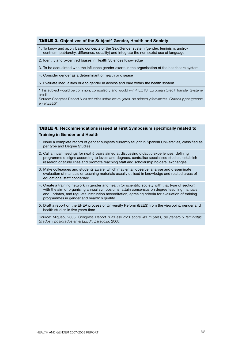#### TABLE 3. **Objectives of the Subject\* Gender, Health and Society**

- 1. To know and apply basic concepts of the Sex/Gender system (gender, feminism, androcentrism, patriarchy, difference, equality) and integrate the non sexist use of language
- 2. Identify andro-centred biases in Health Sciences Knowledge
- 3. To be acquainted with the influence gender exerts in the organisation of the healthcare system
- 4. Consider gender as a determinant of health or disease
- 5. Evaluate inequalities due to gender in access and care within the health system

\*This subject would be common, compulsory and would win 4 ECTS (European Credit Transfer System) credits.

Source: Congress Report *"Los estudios sobre las mujeres, de género y feministas. Grados y postgrados en el EEES"*.

#### TABLE 4. **Recommendations issued at First Symposium specifically related to Training in Gender and Health**

- 1. Issue a complete record of gender subjects currently taught in Spanish Universities, classified as per type and Degree Studies
- 2. Call annual meetings for next 5 years aimed at discussing didactic experiences, defining programme designs according to levels and degrees, centralise specialised studies, establish research or study lines and promote teaching staff and scholarship holders' exchanges
- 3. Make colleagues and students aware, which may entail observe, analyse and disseminate evaluation of manuals or teaching materials usually utilised in knowledge and related areas of educational staff concerned
- 4. Create a training network in gender and health (or scientific society with that type of section) with the aim of organising annual symposiums, attain consensus on degree teaching manuals and updates, and regulate instruction accreditation, agreeing criteria for evaluation of training programmes in gender and health' s quality
- 5. Draft a report on the EHEA process of University Reform (EEES) from the viewpoint: gender and health studies in five years time

Source: Miqueo, 2008. Congress Report *"Los estudios sobre las mujeres, de género y feministas. Grados y postgrados en el EEES"*. Zaragoza, 2008.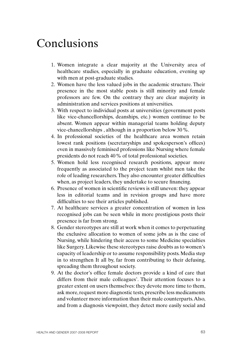# Conclusions

- 1. Women integrate a clear majority at the University area of healthcare studies, especially in graduate education, evening up with men at post-graduate studies.
- 2. Women have the less valued jobs in the academic structure. Their presence in the most stable posts is still minority and female professors are few. On the contrary they are clear majority in administration and services positions at universities.
- 3. With respect to individual posts at universities (government posts like vice-chancellorships, deanships, etc.) women continue to be absent. Women appear within managerial teams holding deputy vice-chancellorships , although in a proportion below 30%.
- 4. In professional societies of the healthcare area women retain lowest rank positions (secretaryships and spokesperson's offices) even in massively feminised professions like Nursing where female presidents do not reach 40% of total professional societies.
- 5. Women hold less recognised research positions, appear more frequently as associated to the project team whilst men take the role of leading researchers. They also encounter greater difficulties when, as project leaders, they undertake to secure financing.
- 6. Presence of women in scientific reviews is still uneven: they appear less in editorial teams and in revision groups and have more difficulties to see their articles published.
- 7. At healthcare services a greater concentration of women in less recognised jobs can be seen while in more prestigious posts their presence is far from strong.
- 8. Gender stereotypes are still at work when it comes to perpetuating the exclusive allocation to women of some jobs as is the case of Nursing, while hindering their access to some Medicine specialties like Surgery. Likewise these stereotypes raise doubts as to women's capacity of leadership or to assume responsibility posts. Media step in to strengthen It all by, far from contributing to their defusing, spreading them throughout society.
- 9. At the doctor's office female doctors provide a kind of care that differs from their male colleagues'. Their attention focuses to a greater extent on users themselves: they devote more time to them, ask more, request more diagnostic tests, prescribe less medicaments and volunteer more information than their male counterparts. Also, and from a diagnosis viewpoint, they detect more easily social and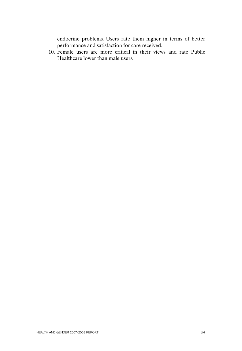endocrine problems. Users rate them higher in terms of better performance and satisfaction for care received.

10. Female users are more critical in their views and rate Public Healthcare lower than male users.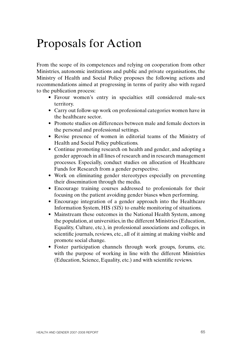# Proposals for Action

From the scope of its competences and relying on cooperation from other Ministries, autonomic institutions and public and private organisations, the Ministry of Health and Social Policy proposes the following actions and recommendations aimed at progressing in terms of parity also with regard to the publication process:

- Favour women's entry in specialties still considered male-sex territory.
- Carry out follow-up work on professional categories women have in the healthcare sector.
- Promote studies on differences between male and female doctors in the personal and professional settings.
- Revise presence of women in editorial teams of the Ministry of Health and Social Policy publications.
- Continue promoting research on health and gender, and adopting a gender approach in all lines of research and in research management processes. Especially, conduct studies on allocation of Healthcare Funds for Research from a gender perspective.
- Work on eliminating gender stereotypes especially on preventing their dissemination through the media.
- Encourage training courses addressed to professionals for their focusing on the patient avoiding gender biases when performing.
- Encourage integration of a gender approach into the Healthcare Information System, HIS *(SIS)* to enable monitoring of situations.
- Mainstream these outcomes in the National Health System, among the population, at universities, in the different Ministries (Education, Equality, Culture, etc.), in professional associations and colleges, in scientific journals, reviews, etc., all of it aiming at making visible and promote social change.
- Foster participation channels through work groups, forums, etc. with the purpose of working in line with the different Ministries (Education, Science, Equality, etc.) and with scientific reviews.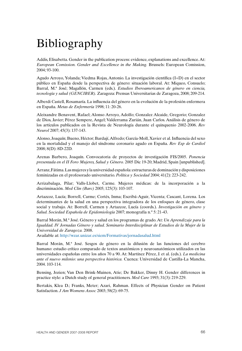# Bibliography

Addis, Elisabetta. Gender in the publication process: evidence, explanations and excellence. At: *European Comission. Gender and Excellence in the Making.* Brussels: European Comission, 2004; 93-100.

Agudo Arroyo, Yolanda; Viedma Rojas, Antonio. La investigación científica (I+D) en el sector público en España desde la perspectiva de género: situación laboral. At: Miqueo, Consuelo; Barral, M.ª José; Magallón, Carmen (eds.). *Estudios Iberoamericanos de género en ciencia, tecnología y salud (GENCIBER).* Zaragoza: Prensas Universitarias de Zaragoza, 2008; 209-214.

Alberdi Castell, Rosamaría. La influencia del género en la evolución de la profesión enfermera en España. *Metas de Enfermería* 1998; 11: 20-26.

Aleixandre Benavent, Rafael; Alonso Arroyo, Adolfo; Gonzalez Alcaide, Gregorio; Gonzalez de Dios, Javier; Pérez Sempere, Angel; Valderrama Zurián, Juan Carlos. Análisis de género de los artículos publicados en la Revista de Neurología durante el quinquenio 2002-2006. *Rev Neurol* 2007; 45(3): 137-143.

Alonso, Joaquín; Bueno, Héctor; Bardají, Alfredo; García-Moll, Xavier et al. Influencia del sexo en la mortalidad y el manejo del síndrome coronario agudo en España. *Rev Esp de Cardiol* 2008; 8(D): 8D-22D.

Arenas Barbero, Joaquín. Convocatoria de proyectos de investigación FIS/2005. *Ponencia presentada en el II Foro Mujeres, Salud y Género.* 2005 Dic 19-20; Madrid, Spain [unpublished].

Arranz, Fátima. Las mujeres y la universidad española: estructuras de dominación y disposiciones feminizadas en el profesorado universitario. *Política y Sociedad* 2004; 41(2): 223-242.

Arrizabalaga, Pilar; Valls-Llobet, Carme. Mujeres médicas: de la incorporación a la discriminación. *Med Clin (Barc)* 2005; 125(3): 103-107.

Artazcoz, Lucía; Borrell, Carme; Cortés, Inma; Escribá-Aguir, Vicenta; Cascant, Lorena. Los determinantes de la salud en una perspectiva integradora de los enfoques de género, clase social y trabajo. At: Borrell, Carmen y Artazcoz, Lucía (coords.). *Investigación en género y Salud. Sociedad Española de Epidemiología* 2007; monografía n.º 5: 21-43.

Barral Morán, M.ª José. Género y salud en los programas de grado. At: *Un Aprendizaje para la Igualdad. IV Jornadas Género y salud. Seminario Interdisciplinar de Estudios de la Mujer de la Universidad de Zaragoza.* 2008.

Available at: http://wzar.unizar.es/siem/Formativas/jornadasalud.html

Barral Morán, M.ª José. Sesgos de género en la difusión de las funciones del cerebro humano: estudio crítico comparado de textos anatómicos y neuroanatómicos utilizados en las universidades españolas entre los años 70 a 90. At: Martínez Pérez, J. et al. (eds.). *La medicina ante el nuevo milenio: una perspectiva histórica.* Cuenca: Universidad de Castilla-La Mancha, 2004. 103-114.

Bensing, Jozien; Van Den Brink-Muinen, Atie; De Bakker, Dinny H. Gender differences in practice style: a Dutch study of general practitioners. *Med Care* 1993; 31(3): 219-229.

Bertakis, Klea D.; Franks, Meter; Azari, Rahman. Effects of Physician Gender on Patient Satisfaction. *J Am Womens Assoc* 2003; 58(2): 69-75.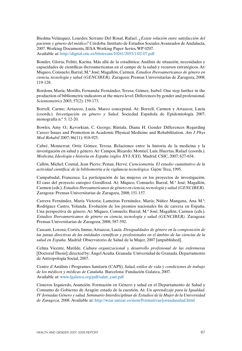Biedma Velázquez, Lourdes; Serrano Del Rosal, Rafael. *¿Existe relación entre satisfacción del paciente y género del médico?* Córdoba: Instituto de Estudios Sociales Avanzados de Andalucía, 2007. Working Documents, IESA Working Paper Series, WP 0207. Available at: http://digital.csic.es/bitstream/10261/2055/1/02-07.pdf

Bonder, Gloria; Felitti, Karina. Más allá de la estadística: Análisis de situación, necesidades y capacidades de científicas iberoamericanas en el campo de la salud y recursos estratégicos. At: Miqueo, Consuelo; Barral, M.ª José; Magallón, Carmen. *Estudios Iberoamericanos de género en ciencia, tecnología y salud (GENCIBER).* Zaragoza: Prensas Universitarias de Zaragoza, 2008; 119-128.

Bordons, María; Morillo, Fernanda; Fernández, Teresa; Gómez, Isabel. One step further in the production of bibliometric indicators at the micro level: Differences by gender and professional. *Scientometrics* 2003; 57(2): 159-173.

Borrell, Carme; Artazcoz, Lucía. Marco conceptual. At: Borrell, Carmen y Artazcoz, Lucía (coords.). *Investigación en género y Salud.* Sociedad Española de Epidemiología 2007; monografía n.º 5: 12-20.

Bowles, Amy O.; Kevorkian, C. George; Rintala, Diana H. Gender Differences Regarding Career Issues and Promotion in Academic Physical Medicine and Rehabilitation. *Am J Phys Med Rehabil* 2007; 86(11): 918-925.

Cabré, Monserrat; Ortiz Gómez, Teresa. Relaciones entre la historia de la medicina y la investigación en salud y género. At: Campos, Ricardo; Montiel, Luis; Huertas, Rafael (coords.). *Medicina, Ideología e historia en España (siglos XVI-XXI).* Madrid: CSIC, 2007; 627-634.

Callón, Michel; Coutial, Jean Pierre; Penan, Hervé. *Cienciometría. El estudio cuantitativo de la actividad científica: de la bibliometría a la vigilancia tecnológica.* Gijón: Trea, 1995.

Campabadal, Francesca. La participación de las mujeres en los proyectos de investigación. El caso del proyecto europeo Goodfood. At: Miqueo, Consuelo; Barral, M.ª José; Magallón, Carmen (eds.). *Estudios Iberoamericanos de género en ciencia, tecnología y salud (GENCIBER).* Zaragoza: Prensas Universitarias de Zaragoza, 2008; 151-157.

Carrera Fernández, María Victoria; Lameiras Fernández, María; Núñez Mangana, Ana M.ª; Rodríguez Castro, Yolanda. Evolución de los premios nacionales fin de carrera en España. Una perspectiva de género. At: Miqueo, Consuelo; Barral, M.ª José; Magallón, Carmen (eds.). *Estudios Iberoamericanos de género en ciencia, tecnología y salud (GENCIBER).* Zaragoza: Prensas Universitarias de Zaragoza, 2008; 587-592.

Cascant, Lorena; Cortés, Imma; Artazcoz, Lucía. *Desigualdades de género en la composición de las juntas directivas de las entidades científicas y profesionales en el ámbito de las ciencias de la salud en España.* Madrid: Observatorio de Salud de la Mujer, 2007 [unpublished].

Celma Vicente, Matilde. *Cultura organizacional y desarrollo profesional de las enfermeras*  [Doctoral Thesis]; directed by: Ángel Acuña. Granada: Universidad de Granada, Departamento de Antropología Social, 2007.

Centre d'Anàlisis i Programes Sanitaris (CAPS). *Salud, estilos de vida y condiciones de trabajo de los médicos y médicas de Cataluña.* Barcelona: Fundación Galatea, 2007. Available at: www.fgalatea.org/pdf/salut\_cast.pdf

Cisneros Izquierdo, Asunción. Formación en Género y salud en el Departamento de Salud y Consumo de Gobierno de Aragón: estado de la cuestión. At: *Un aprendizaje para la Igualdad. IV Jornadas Género y salud. Seminario Interdisciplinar de Estudios de la Mujer de la Universidad de Zaragoza,* 2008. Available at: http://wzar.unizar.es/siem/Formativas/jornadasalud.html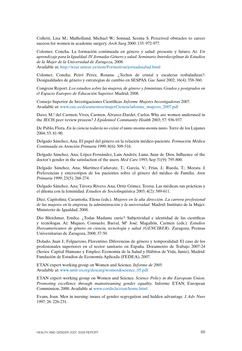Colletti, Lisa M.; Mulholland, Michael W.; Sonnad, Seema S. Perceived obstacles to career success for women in academic surgery. *Arch Surg* 2000; 135: 972-977.

Colomer, Concha. La formación continuada en género y salud: presente y futuro. At: *Un aprendizaje para la Igualdad. IV Jornadas Género y salud. Seminario Interdisciplinar de Estudios de la Mujer de la Universidad de Zaragoza,* 2008.

Available at: http://wzar.unizar.es/siem/Formativas/jornadasalud.html

Colomer, Concha; Peiró Pérez, Rosana. ¿Techos de cristal y escaleras resbaladizas?: Desigualdades de género y estrategias de cambio en SESPAS. *Gac Sanit* 2002; 16(4): 358-360.

Congress Report. *Los estudios sobre las mujeres, de género y feministas. Grados y postgrados en el Espacio Europeo de Educación Superior.* Madrid; 2008.

Consejo Superior de Investigaciones Científicas. *Informe Mujeres Investigadoras* 2007. Available at: www.csic.es/documentos/mujerCiencia/informe\_mujeres\_2007.pdf

Davo, M.ª del Carmen; Vives, Carmen; Álvarez-Dardet, Carlos. Why are women underused in the JECH peer review process? *J Epidemiol Community Health* 2003; 57: 936-937.

De Pablo, Flora. *En la ciencia todavía no existe el tanto monta-monta tanto.* Torre de los Lujanes 2004; 53: 81-90.

Delgado Sánchez, Ana. El papel del género en la relación médico-paciente. *Formación Médica Continuada en Atención Primaria* 1999; 8(6): 509-516.

Delgado Sánchez, Ana; López-Fernández, Luis Andrés; Luna, Juan de Dios. Influence of the doctor's gender in the satisfaction of the users. *Med Care* 1993; Sep 31(9): 795-800.

Delgado Sánchez, Ana; Martínez-Cañavate, T.; García, V.; Frías, J.; Rueda, T.; Morata J. Preferencias y estereotipos de los pacientes sobre el género del médico de Familia. *Aten Primaria* 1999; 23(5): 268-274.

Delgado Sánchez, Ana; Távora Rivero, Ana; Ortiz Gómez, Teresa. Las médicas, sus prácticas y el dilema con la feminidad. *Estudios de Sociolingüística* 2003; 4(2): 589-611.

Díez, Capitolina; Carantoña, Elena (eds.). *Mujeres en la alta dirección. La carrera profesional de las mujeres en la empresa, la administración y la universidad.* Madrid: Instituto de la Mujer. Ministerio de Igualdad, 2008.

Dio Bleichmar, Emilce. ¿Todas Madame curie? Subjetividad e identidad de las científicas y tecnólogas. At: Miqueo, Consuelo; Barral, Mª José; Magallón, Carmen (eds.). *Estudios Iberoamericanos de género en ciencia, tecnología y salud (GENCIBER).* Zaragoza, Prensas Universitarias de Zaragoza, 2008; 37-50

Dolado, Juan J.; Felgueroso, Florentino. Diferencias de género y temporalidad: El caso de los profesionales superiores en el sector sanitario en España. Documento de Trabajo 2007-24 (Series: Capital Humano y Empleo. Economía de la Salud y Hábitos de Vida, Junio). Madrid: Fundación de Estudios de Economía Aplicada (FEDEA), 2007.

ETAN expert working group on Women and Science. *Informe de 2005.* Available at: www.amit-es.org/descarg/women&science\_05.pdf

ETAN expert working group on Women and Science. *Science Policy in the European Union. Promoting excellence through mainstreaming gender equality.* Informe ETAN, European Commission, 2000. Available at www.cordis.lu/etan/home.html

Evans, Joan. Men in nursing: issues of gender segregation and hidden advantage. *J Adv Nurs* 1997; 26: 226-231.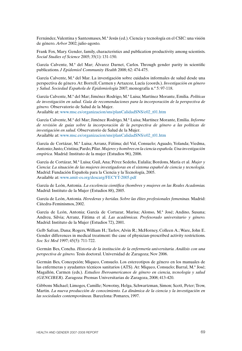Fernández, Valentina y Santesmases, M.ª Jesús (ed.). Ciencia y tecnología en el CSIC: una visión de género. *Arbor* 2002; julio-agosto.

Frank Fox, Mary. Gender, family, characteristics and publication productivity among scientists. *Social Studies of Science* 2005; 35(1): 131-150.

García Calvente, M.ª del Mar; Álvarez Darnet, Carlos. Through gender parity in scientific publications. *J Epidemiol Community Health* 2008; 62: 474-475.

García Calvente, M.ª del Mar. La investigación sobre cuidados informales de salud desde una perspectiva de género. At: Borrell, Carmen y Artazcoz, Lucía (coords.). *Investigación en género y Salud. Sociedad Española de Epidemiología* 2007; monografía n.º 5: 97-118.

García Calvente, M.ª del Mar; Jiménez Rodrigo, M.ª Luisa; Martínez Morante, Emilia. *Políticas de investigación en salud. Guía de recomendaciones para la incorporación de la perspectiva de género.* Observatorio de Salud de la Mujer.

Available at: www.msc.es/organizacion/sns/planCalidadSNS/e02\_t01.htm

García Calvente, M.ª del Mar; Jiménez Rodrigo, M.ª Luisa; Martínez Morante, Emilia. *Informe de revisión de guías sobre la incorporación de la perspectiva de género a las políticas de investigación en salud.* Observatorio de Salud de la Mujer. Available at: www.msc.es/organizacion/sns/planCalidadSNS/e02\_t01.htm

García de Cortázar, M.ª Luisa; Arranz, Fátima; del Val, Consuelo; Aguado, Yolanda; Viedma, Antonio; Justo, Cristina; Pardo, Pilar. *Mujeres y hombres en la ciencia española. Una investigación empírica.* Madrid: Instituto de la mujer (Estudios 96), 2006.

García de Cortázar, M.ª Luisa; Guil, Ana; Pérez Sedeño, Eulalia; Bordons, María et al. *Mujer y Ciencia: La situación de las mujeres investigadoras en el sistema español de ciencia y tecnología.* Madrid: Fundación Española para la Ciencia y la Tecnología, 2005. Available at: www.amit-es.org/descarg/FECYT-2005.pdf

García de León, Antonia. *La excelencia científica (hombres y mujeres en las Reales Academias.*  Madrid: Instituto de la Mujer (Estudios 88), 2005.

García de León, Antonia. *Herederas y heridas. Sobre las élites profesionales femeninas.* Madrid: Cátedra-Feminismos, 2002.

García de León, Antonia; García de Cortazar, Marisa; Alonso, M.ª José; Andino, Susana; Andreu, Silvia; Arranz, Fátima et al. *Las académicas. Profesorado universitario y género.*  Madrid: Instituto de la Mujer (Estudios 72), 2001.

Gelb Safran, Dana; Rogers, William H.; Tarlov, Alvin R.; McHorney, Colleen A.; Ware, John E. Gender differences in medical treatment: the case of physician-prescribed activity restrictions. *Soc Sci Med* 1997; 45(5): 711-722.

Germán Bes, Concha. *Historia de la institución de la enfermería universitaria. Análisis con una perspectiva de género.* Tesis doctoral. Universidad de Zaragoza; Nov 2006.

Germán Bes, Concepción; Miqueo, Consuelo. Los estereotipos de género en los manuales de las enfermeras y ayudantes técnicos sanitarios (ATS). At: Miqueo, Consuelo; Barral, M.ª José; Magallón, Carmen (eds.). *Estudios Iberoamericanos de género en ciencia, tecnología y salud (GENCIBER).* Zaragoza: Prensas Universitarias de Zaragoza, 2008; 413-420.

Gibbons Michael; Limoges, Camille; Nowotny, Helga, Schwartzman, Simon; Scott, Peter; Trow, Martin. *La nueva producción de conocimiento. La dinámica de la ciencia y la investigación en las sociedades contemporáneas.* Barcelona: Pomares, 1997.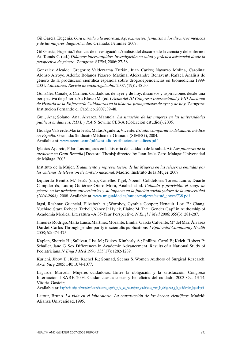Gil García, Eugenia. *Otra mirada a la anorexia. Aproximación feminista a los discursos médicos y de las mujeres diagnosticadas.* Granada: Feminae, 2007.

Gil García, Eugenia. Técnicas de investigación: Análisis del discurso de la ciencia y del enfermo. At: Tomás, C. (ed.) *Diálogos interrumpidos. Investigación en salud y práctica asistencial desde la perspectiva de género.* Zaragoza: SIEM, 2006; 27-38.

González Alcaide, Gregorio; Valderrama Zurián, Juan Carlos; Navarro Molina, Carolina; Alonso Arroyo, Adolfo; Bolaños Pizarro, Máxima; Aleixandre Benavent, Rafael. Análisis de género de la producción científica española sobre drogodependencias en biomedicina 1999- 2004. *Adicciones: Revista de socidrogalcohol* 2007; (19)1: 45-50.

González Canalejo, Carmen. Cuidadoras de ayer y de hoy: discursos y aspiraciones desde una perspectiva de género. At: Blasco M. (ed.) *Actas del III Congreso Internacional y VIII Nacional de Historia de la Enfermería Cuidadoras en la historia: protagonistas de ayer y de hoy.* Zaragoza: Institución Fernando el Católico, 2007; 39-48.

Guil, Ana; Solano, Ana; Álvarez, Manuela. *La situación de las mujeres en las universidades publicas andaluzas: P.D.I. y P.A.S.* Sevilla: CES-A (Colección estudios), 2005.

Hidalgo Valverde, María Jesús; Matas Aguilera, Vicente. *Estudio comparativo del salario médico en España.* Granada: Sindicato Médico de Granada (SIMEG), 2004. Available at: www.aeemt.com/pdfs/estudioretribucionesmedicos.pdf

Iglesias Aparcio, Pilar. Las mujeres en la historia del cuidado de la salud. At: *Las pioneras de la medicina en Gran Bretaña* [Doctoral Thesis]; directed by Juan Jesús Zaro. Malaga: Universidad de Málaga, 2003.

Instituto de la Mujer. *Tratamiento y representación de las Mujeres en las teleseries emitidas por las cadenas de televisión de ámbito nacional.* Madrid: Instituto de la Mujer, 2007.

Izquierdo Benito, M.ª Jesús (dir.); Canelles Tigel, Noemí; Colldeforns Torres, Laura; Duarte Campderrós, Laura; Gutiérrez-Otero Mora, Anabel et al. *Cuidado y provisión: el sesgo de género en las prácticas universitarias y su impacto en la función socializadora de la universidad (2004-2008),* 2008. Available at: www.migualdad.es/mujer/mujeres/estud\_inves/738.pdf

Jagsi, Reshma; Guancial, Elizabeth A.; Worobey, Cynthia Cooper; Henault, Lori E.; Chang, Yuchiao; Starr, Rebeca; Tarbell, Nancy J.; Hylek, Elaine M. The "Gender Gap" in Authorship of Academia Medical Literatura –A 35-Year Perspective. *N Engl J Med* 2006; 355(3): 281-287.

Jiménez Rodrigo, María Luisa; Martínez Morante, Emilia; García Calvente, Mª del Mar; Álvarez Dardet, Carlos. Through gender parity in scientific publications. *J Epidemiol Community Health* 2008; 62: 474-475.

Kaplan, Sherrie H.; Sullivan, Lisa M.; Dukes, Kimberly A.; Phillips, Carol F.; Kelch, Robert P.; Schaller, Jane G. Sex Differences in Academic Advancement. Results of a National Study of Pediatricians. *N Engl J Med* 1996; 335(17): 1282-1289.

Kurichi, Jibby E.; Kelz, Rachel R.; Sonnad, Seema S. Women Authors of Surgical Research. *Arch Surg* 2005; 140: 1074-1077.

Lagarde, Marcela. Mujeres cuidadoras. Entre la obligación y la satisfacción. Congreso Internacional SARE 2003: Cuidar cuesta: costes y beneficios del cuidado; 2003 Oct 13-14; Vitoria-Gasteiz;

Available at: http://webs.uvigo.es/pmayobre/textos/marcela\_lagarde\_y\_de\_los\_rios/mujeres\_cuidadoras\_entre\_la\_obligacion\_y\_la\_satisfaccion\_lagarde.pdf

Latour, Bruno. *La vida en el laboratorio. La construcción de los hechos científicos.* Madrid: Alianza Universidad, 1995.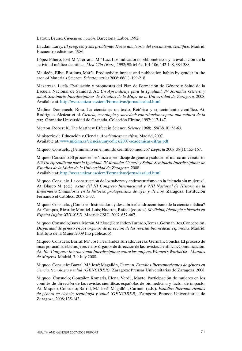Latour, Bruno. *Ciencia en acción.* Barcelona: Labor, 1992.

Laudan, Larry. *El progreso y sus problemas. Hacia una teoría del crecimiento científico.* Madrid: Encuentro ediciones, 1986.

López Piñero, José M.ª; Terrada, M.ª Luz. Los indicadores bibliométricos y la evaluación de la actividad médico-científica. *Med Clin (Barc)* 1992; 98: 64-69, 101-106, 142-148, 384-388.

Mauleón, Elba; Bordons, María. Productivity, impact and publication habits by gender in the area of Materials Science. *Scientometrics* 2006; 66(1): 199-218.

Mazarrasa, Lucía. Evaluación y propuestas del Plan de Formación de Género y Salud de la Escuela Nacional de Sanidad. At: *Un Aprendizaje para la Igualdad. IV Jornadas Género y salud. Seminario Interdisciplinar de Estudios de la Mujer de la Universidad de Zaragoza,* 2008. Available at: http://wzar.unizar.es/siem/Formativas/jornadasalud.html

Medina Domenech, Rosa. La ciencia es un texto. Retórica y conocimiento científico. At: Rodríguez Alcázar et al. *Ciencia, tecnología y sociedad: contribuciones para una cultura de la paz.* Granada: Universidad de Granada, Colección Eirene, 1997; 117-147.

Merton, Robert K. The Matthew Effect in Science. *Science* 1968; 159(3810): 56-63.

Ministerio de Educación y Ciencia. *Académicas en cifras.* Madrid, 2007. Available at: www.micinn.es/ciencia/umyc/files/2007-academicas-cifras.pdf

Miqueo, Consuelo. ¿Feminismo en el mundo científico médico? *Isegoría* 2008. 38(I): 155-167.

Miqueo, Consuelo. El proceso enseñanza-aprendizaje de género y salud en el marco universitario. AT: *Un Aprendizaje para la Igualdad. IV Jornadas Género y Salud. Seminario Interdisciplinar de Estudios de la Mujer de la Universidad de Zaragoza,* 2008. Available at: http://wzar.unizar.es/siem/Formativas/jornadasalud.html

Miqueo, Consuelo. La construcción de los saberes y androcentrismo en la "ciencia sin mujeres". At: Blasco M. (ed.). *Actas del III Congreso Internacional y VIII Nacional de Historia de la Enfermería Cuidadoras en la historia: protagonistas de ayer y de hoy.* Zaragoza: Institución Fernando el Católico, 2007; 5-37.

Miqueo, Consuelo. ¿Cómo ser historiadora y descubrir el androcentrismo de la ciencia médica? At: Campos, Ricardo; Montiel, Luis; Huertas, Rafael (coords.) *Medicina, Ideología e historia en España (siglos XVI-XXI).* Madrid: CSIC, 2007; 657-667.

Miqueo, Consuelo; Barral Morán, M.ª José; Fernández-Turrado, Teresa; Germán Bes, Concepción. *Disparidad de género en los órganos de dirección de las revistas biomédicas españolas.* Madrid: Instituto de la Mujer, 2009 (no publicado).

Miqueo, Consuelo; Barral, M.ª José; Fernández Turrado, Teresa; Germán, Concha. El proceso de incorporación de las mujeres en los órganos de dirección de las revistas científicas. Comunicación. At: *10.º Congreso Internacional Interdisciplinar sobre las mujeres. Women's Worlds'08 - Mundos de Mujeres.* Madrid, 3-9 July 2008.

Miqueo, Consuelo; Barral, M.ª José; Magallón, Carmen. *Estudios Iberoamericanos de género en ciencia, tecnología y salud (GENCIBER).* Zaragoza: Prensas Universitarias de Zaragoza, 2008.

Miqueo, Consuelo; González Romaris, Elena; Verdú, Mayte. Participación de mujeres en los comités de dirección de las revistas científicas españolas de biomedicina y factor de impacto. At: Miqueo, Consuelo; Barral, M.ª José; Magallón, Carmen (eds.). *Estudios Iberoamericanos de género en ciencia, tecnología y salud (GENCIBER).* Zaragoza: Prensas Universitarias de Zaragoza, 2008; 135-142.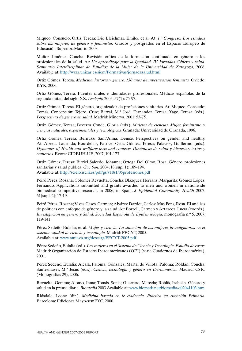Miqueo, Consuelo; Ortiz, Teresa; Dio Bleichmar, Emilce et al. At: *1.º Congreso. Los estudios sobre las mujeres, de género y feministas.* Grados y postgrados en el Espacio Europeo de Educación Superior. Madrid, 2008.

Muñoz Jiménez, Concha. Revisión crítica de la formación continuada en género a los profesionales de la salud. At: *Un aprendizaje para la Igualdad. IV Jornadas Género y salud. Seminario Interdisciplinar de Estudios de la Mujer de la Universidad de Zaragoza,* 2008. Available at: http://wzar.unizar.es/siem/Formativas/jornadasalud.html

Ortiz Gómez, Teresa. *Medicina, historia y género. 130 años de investigación feminista.* Oviedo: KYK, 2006.

Ortiz Gómez, Teresa. Fuentes orales e identidades profesionales. Médicas españolas de la segunda mitad del siglo XX. *Asclepio* 2005; 57(1): 75-97.

Ortiz Gómez, Teresa. El género, organizador de profesiones sanitarias. At: Miqueo, Consuelo; Tomás, Concepción; Tejero, Cruz; Barral, M.ª José; Fernández, Teresa; Yago, Teresa (eds.). *Perspectivas de género en salud.* Madrid: Minerva, 2001; 53-75.

Ortiz Gómez, Teresa; Becerra Conde, Gloria (eds.). *Mujeres de ciencias. Mujer, feminismo y ciencias naturales, experimentales y tecnológicas.* Granada: Universidad de Granada, 1996.

Ortiz Gómez, Teresa; Bernuzzi Sant'Anna, Denise. Perspectives on gender and healthy. At: Abreu, Laurinda; Bourdelais, Patrice; Ortiz Gómez, Teresa; Palacios, Guillermo (eds.). *Dynamics of Health and wellfare: texts and contexts. Dinámicas de salud y bienestar: textos y contextos.* Evora: CIDEUH-UE, 2007; 101-173.

Ortiz Gómez, Teresa; Birriel Salcedo, Johanna; Ortega Del Olmo, Rosa. Género, profesiones sanitarias y salud pública. *Gac San.* 2004; 18(supl.1): 189-194. Available at: http://scielo.isciii.es/pdf/gs/v18s1/05profesiones.pdf

Peiró Pérez, Rosana; Colomer Revuelta, Concha; Blázquez Herranz, Margarita; Gómez López, Fernando. Applications submitted and grants awarded to men and women in nationwide biomedical competitive research, in 2006, in Spain. *J Epidemiol Community Health* 2007; 61(supl. 2): 17-19.

Peiró Pérez, Rosana; Vives Cases, Carmen; Alvárez Dardet, Carlos; Mas Pons, Rosa. El análisis de políticas con enfoque de género y la salud. At: Borrell, Carmen y Artazcoz, Lucía (coords.). *Investigación en género y Salud. Sociedad Española de Epidemiología,* monografía n.º 5, 2007; 119-141.

Pérez Sedeño Eulalia; et al. *Mujer y ciencia. La situación de las mujeres investigadoras en el sistema español de ciencia y tecnología.* Madrid: FECYT, 2005. Available at: www.amit-es.org/descarg/FECYT-2005.pdf

Pérez Sedeño, Eulalia (ed.). *Las mujeres en el Sistema de Ciencia y Tecnología. Estudio de casos.*  Madrid: Organización de Estados Iberoamericanos (OEI) (serie Cuadernos de Iberoamérica), 2001.

Pérez Sedeño, Eulalia; Alcalá, Paloma; González, Marta; de Villota, Paloma; Roldán, Concha; Santesmases, M.ª Jesús (eds.). *Ciencia, tecnología y género en Iberoamérica.* Madrid: CSIC (Monografías 29), 2006.

Revuelta, Gemma; Alonso, Inma; Tomás, Sonia; Guerrero, Marcela; Rohlfs, Izabella. Género y salud en la prensa diaria. *Biomedia* 2003 Available at: www.biomeds.net/biomedia/d02041103.htm

Ridsdale, Leone (dir.). *Medicina basada en le evidencia. Práctica en Atención Primaria.*  Barcelona: Ediciones Mayo-semFYC, 2000.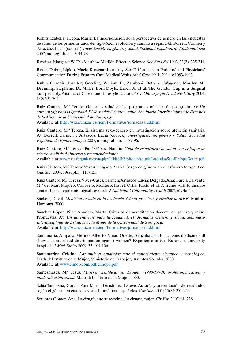Rohlfs, Izabella; Trigola, María. La incorporación de la perspectiva de género en las encuestas de salud de los primeros años del siglo XXI: evolución y camino a seguir. At: Borrell, Carmen y Artazcoz, Lucía (coords.). *Investigación en género y Salud. Sociedad Española de Epidemiología*  2007; monografía n.º 5: 44-78.

Rossiter, Margaret W. The Matthew Matilda Effect in Science. *Soc Stud Sci* 1993; 23(2): 325-341.

Roter, Debra; Lipkin, Mack; Korsgaard, Audrey. Sex Differences in Patients' and Physicians' Communication During Primary Care Medical Visits. *Med Care* 1991; 29(11): 1083-1093.

Rubin Grandis, Jennifer; Gooding, William E.; Zamboni, Beth A.; Wagener, Marilyn M.; Drenning, Stephanie D.; Miller, Lori; Doyle, Karen Jo et al. The Gender Gap in a Surgical Subspeciality. Análisis of Career and Lifestyle Factors. *Arch Otolaryngol Head Neck Surg* 2004; 130: 695-702.

Ruiz Cantero, M.ª Teresa: Género y salud en los programas oficiales de postgrado. At: *Un aprendizaje para la Igualdad. IV Jornadas Género y salud. Seminario Interdisciplinar de Estudios de la Mujer de la Universidad de Zaragoza.*

Available at: http://wzar.unizar.es/siem/Formativas/jornadasalud.html

Ruiz Cantero, M.ª Teresa. El sistema sexo-género en investigación sobre atención sanitaria. At: Borrell, Carmen y Artazcoz, Lucía (coords.). *Investigación en género y Salud. Sociedad Española de Epidemiología* 2007; monografía n.º 5: 79-96.

Ruiz Cantero, M.ª Teresa; Papí Gálvez, Natalia. *Guía de estadísticas de salud con enfoque de género: análisis de internet y recomendaciones.* Available at: www.msc.es/organizacion/sns/planCalidadSNS/pdf/equidad/guiaEstadisticasSaludEnfoqueGenero.pdf

Ruiz Cantero, M.ª Teresa; Verdú Delgado, María. Sesgo de género en el esfuerzo terapéutico. *Gac San* 2004; 19(supl.1): 118-125.

Ruiz Cantero, M.ª Teresa; Vives-Cases, Carmen; Artazcoz, Lucía; Delgado, Ana; García Calvente, M.ª del Mar; Miqueo, Consuelo; Montero, Isabel; Ortiz, Rocío et al. A framework to analyse gender bias in epidemiological research. *J Epidemiol Community Health* 2007; 61: 46-53.

Sackett, David. *Medicina basada en la evidencia. Cómo practicar y enseñar la MBE.* Madrid: Harcourt, 2000.

Sánchez López, Pilar; Aparicio, Marta. Criterios de acreditación docente en género y salud. Propuestas. At: *Un aprendizaje para la Igualdad. IV Jornadas Género y salud. Seminario Interdisciplinar de Estudios de la Mujer de la Universidad de Zaragoza.* Available at: http://wzar.unizar.es/siem/Formativas/jornadasalud.html

Santamaría, Amparo; Merino, Alberto; Viñas, Odette; Arrizabalaga, Pilar. Does medicine still show an unresolved discrimination against women? Experience in two European university hospitals. *J Med Ethics* 2009; 35: 104-106.

Santamarina, Cristina. *Las mujeres españolas ante el conocimiento científico y tecnológico.*  Madrid: Instituto de la Mujer, Ministerio de Trabajo y Asuntos Sociales, 2000. Available at: www.cimop.com/pdf/cimop3.pdf

Santesmases, M.ª Jesús. *Mujeres científicas en España (1940-1970): profesionalización y modernización social.* Madrid: Instituto de la Mujer, 2000.

Schiaffino, Ana; García, Ana María; Fernández, Esteve. Autoría y presentación de resultados según el género en cuatro revistas biomédicas españolas. *Gac San* 2001; 15(3): 251-254.

Serantes Gómez, Ana. La cirugía que se avecina. La cirugía mujer. *Cir Esp* 2007; 81: 228.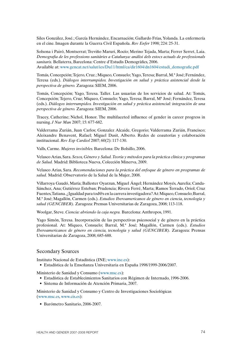Siles González, José.; García Hernández, Encarnación; Gallardo Frías, Yolanda. La enfermería en el cine. Imagen durante la Guerra Civil Española. *Rev Enfer* 1998; 224: 25-31.

Solsona i Pairó, Montserrat; Treviño Maruri, Rocío; Merino Tejada, Marta; Ferrer Serret, Laia. *Demografia de les professions sanitàries a Catalunya: anàlisi dels estocs actuals de professionals sanitaris.* Bellaterra, Barcelona: Centre d'Estudis Demogràfics, 2006. Available at: www.gencat.net/salut/ies/Du11/html/ca/dir1604/dn1604/estudi\_demografic.pdf

Tomás, Concepción; Tejero, Cruz.; Miqueo, Consuelo; Yago, Teresa; Barral, M.ª José; Fernández, Teresa (eds.). *Diálogos interrumpidos. Investigación en salud y práctica asistencial desde la perspectiva de género.* Zaragoza: SIEM, 2006.

Tomás, Concepción; Yago, Teresa. Taller. Las usuarias de los servicios de salud. At: Tomás, Concepción; Tejero, Cruz; Miqueo, Consuelo; Yago, Teresa; Barral, Mª José; Fernández, Teresa (eds.). *Diálogos interrumpidos. Investigación en salud y práctica asistencial: integración de una perspectiva de género.* Zaragoza: SIEM, 2006.

Tracey, Catherine; Nichol, Honor. The multifaceted influence of gender in career progress in nursing. *J Nur Man* 2007; 15: 677-682.

Valderrama Zurián, Juan Carlos; Gonzalez Alcaide, Gregorio; Valderrama Zurián, Francisco; Aleixandre Benavent, Rafael; Miguel Dasit, Alberto. Redes de coautorías y colaboración institucional. *Rev Esp Cardiol* 2007; 60(2): 117-130.

Valls, Carme. *Mujeres invisibles.* Barcelona: De Bolsillo, 2006.

Velasco Arias, Sara. *Sexos, Género y Salud. Teoría y métodos para la práctica clínica y programas de Salud.* Madrid: Biblioteca Nueva, Colección Minerva, 2009.

Velasco Arias, Sara. *Recomendaciones para la práctica del enfoque de género en programas de salud.* Madrid: Observatorio de la Salud de la Mujer, 2008.

Villarroya Gaudó, María; Ballester Oyarzun, Miguel Ángel; Hernández Moyés, Aurelia; Canda-Sánchez, Ana; Gutiérrez Esteban; Prudencia; Rivera Ferré, Marta; Ramos Terrado, Oriol; Cruz Fuentes, Tatiana. ¿Igualdad para tod@s en la carrera investigadora? At: Miqueo, Consuelo; Barral, M.ª José; Magallón, Carmen (eds.). *Estudios Iberoamericanos de género en ciencia, tecnología y salud (GENCIBER).* Zaragoza: Prensas Universitarias de Zaragoza, 2008; 113-118.

Woolgar, Steve. *Ciencia: abriendo la caja negra.* Barcelona: Anthropos, 1991.

Yago Simón, Teresa. Incorporación de las perspectivas psicosocial y de género en la práctica profesional. At: Miqueo, Consuelo; Barral, M.ª José; Magallón, Carmen (eds.). *Estudios Iberoamericanos de género en ciencia, tecnología y salud (GENCIBER).* Zaragoza: Prensas Universitarias de Zaragoza, 2008; 685-688.

## Secondary Sources

Instituto Nacional de Estadística (INE; www.ine.es):

 • Estadística de la Enseñanza Universitaria en España 1998/1999-2006/2007.

Ministerio de Sanidad y Consumo (www.msc.es):

- • Estadística de Establecimientos Sanitarios con Régimen de Internado, 1996-2006.
- • Sistema de Información de Atención Primaria, 2007.

Ministerio de Sanidad y Consumo y Centro de Investigaciones Sociológicas (www.msc.es, www.cis.es):

 • Barómetro Sanitario, 2006-2007.